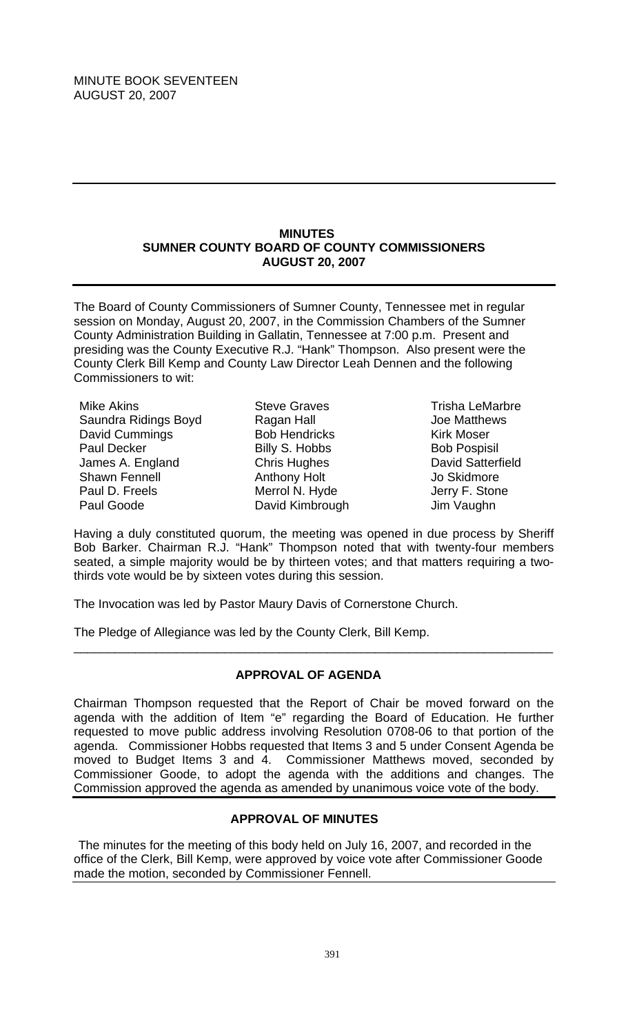### **MINUTES SUMNER COUNTY BOARD OF COUNTY COMMISSIONERS AUGUST 20, 2007**

The Board of County Commissioners of Sumner County, Tennessee met in regular session on Monday, August 20, 2007, in the Commission Chambers of the Sumner County Administration Building in Gallatin, Tennessee at 7:00 p.m. Present and presiding was the County Executive R.J. "Hank" Thompson. Also present were the County Clerk Bill Kemp and County Law Director Leah Dennen and the following Commissioners to wit:

Mike Akins Saundra Ridings Boyd David Cummings Paul Decker James A. England Shawn Fennell Paul D. Freels Paul Goode

Steve Graves Ragan Hall Bob Hendricks Billy S. Hobbs Chris Hughes Anthony Holt Merrol N. Hyde David Kimbrough

Trisha LeMarbre Joe Matthews Kirk Moser Bob Pospisil David Satterfield Jo Skidmore Jerry F. Stone Jim Vaughn

Having a duly constituted quorum, the meeting was opened in due process by Sheriff Bob Barker. Chairman R.J. "Hank" Thompson noted that with twenty-four members seated, a simple majority would be by thirteen votes; and that matters requiring a twothirds vote would be by sixteen votes during this session.

The Invocation was led by Pastor Maury Davis of Cornerstone Church.

The Pledge of Allegiance was led by the County Clerk, Bill Kemp.

# **APPROVAL OF AGENDA**

\_\_\_\_\_\_\_\_\_\_\_\_\_\_\_\_\_\_\_\_\_\_\_\_\_\_\_\_\_\_\_\_\_\_\_\_\_\_\_\_\_\_\_\_\_\_\_\_\_\_\_\_\_\_\_\_\_\_\_\_\_\_\_\_\_\_\_\_\_\_

Chairman Thompson requested that the Report of Chair be moved forward on the agenda with the addition of Item "e" regarding the Board of Education. He further requested to move public address involving Resolution 0708-06 to that portion of the agenda. Commissioner Hobbs requested that Items 3 and 5 under Consent Agenda be moved to Budget Items 3 and 4. Commissioner Matthews moved, seconded by Commissioner Goode, to adopt the agenda with the additions and changes. The Commission approved the agenda as amended by unanimous voice vote of the body.

# **APPROVAL OF MINUTES**

The minutes for the meeting of this body held on July 16, 2007, and recorded in the office of the Clerk, Bill Kemp, were approved by voice vote after Commissioner Goode made the motion, seconded by Commissioner Fennell.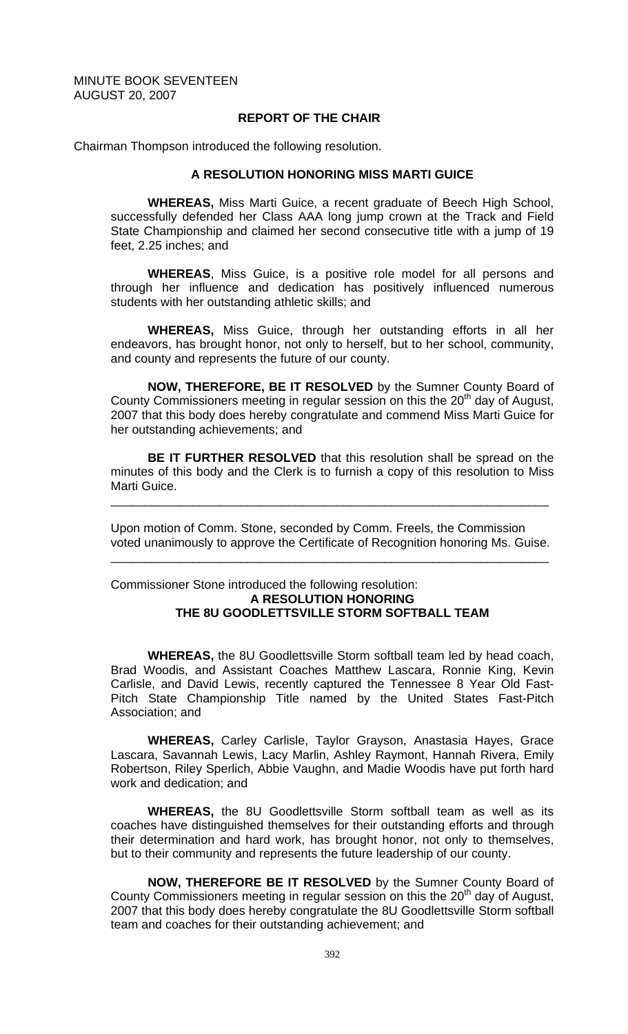### **REPORT OF THE CHAIR**

Chairman Thompson introduced the following resolution.

### **A RESOLUTION HONORING MISS MARTI GUICE**

 **WHEREAS,** Miss Marti Guice, a recent graduate of Beech High School, successfully defended her Class AAA long jump crown at the Track and Field State Championship and claimed her second consecutive title with a jump of 19 feet, 2.25 inches; and

**WHEREAS**, Miss Guice, is a positive role model for all persons and through her influence and dedication has positively influenced numerous students with her outstanding athletic skills; and

**WHEREAS,** Miss Guice, through her outstanding efforts in all her endeavors, has brought honor, not only to herself, but to her school, community, and county and represents the future of our county.

**NOW, THEREFORE, BE IT RESOLVED** by the Sumner County Board of County Commissioners meeting in regular session on this the  $20<sup>th</sup>$  day of August, 2007 that this body does hereby congratulate and commend Miss Marti Guice for her outstanding achievements; and

**BE IT FURTHER RESOLVED** that this resolution shall be spread on the minutes of this body and the Clerk is to furnish a copy of this resolution to Miss Marti Guice.

\_\_\_\_\_\_\_\_\_\_\_\_\_\_\_\_\_\_\_\_\_\_\_\_\_\_\_\_\_\_\_\_\_\_\_\_\_\_\_\_\_\_\_\_\_\_\_\_\_\_\_\_\_\_\_\_\_\_\_\_\_\_\_\_

Upon motion of Comm. Stone, seconded by Comm. Freels, the Commission voted unanimously to approve the Certificate of Recognition honoring Ms. Guise.

\_\_\_\_\_\_\_\_\_\_\_\_\_\_\_\_\_\_\_\_\_\_\_\_\_\_\_\_\_\_\_\_\_\_\_\_\_\_\_\_\_\_\_\_\_\_\_\_\_\_\_\_\_\_\_\_\_\_\_\_\_\_\_\_

# Commissioner Stone introduced the following resolution: **A RESOLUTION HONORING THE 8U GOODLETTSVILLE STORM SOFTBALL TEAM**

**WHEREAS,** the 8U Goodlettsville Storm softball team led by head coach, Brad Woodis, and Assistant Coaches Matthew Lascara, Ronnie King, Kevin Carlisle, and David Lewis, recently captured the Tennessee 8 Year Old Fast-Pitch State Championship Title named by the United States Fast-Pitch Association; and

 **WHEREAS,** Carley Carlisle, Taylor Grayson, Anastasia Hayes, Grace Lascara, Savannah Lewis, Lacy Marlin, Ashley Raymont, Hannah Rivera, Emily Robertson, Riley Sperlich, Abbie Vaughn, and Madie Woodis have put forth hard work and dedication; and

**WHEREAS,** the 8U Goodlettsville Storm softball team as well as its coaches have distinguished themselves for their outstanding efforts and through their determination and hard work, has brought honor, not only to themselves, but to their community and represents the future leadership of our county.

 **NOW, THEREFORE BE IT RESOLVED** by the Sumner County Board of County Commissioners meeting in regular session on this the  $20<sup>th</sup>$  day of August, 2007 that this body does hereby congratulate the 8U Goodlettsville Storm softball team and coaches for their outstanding achievement; and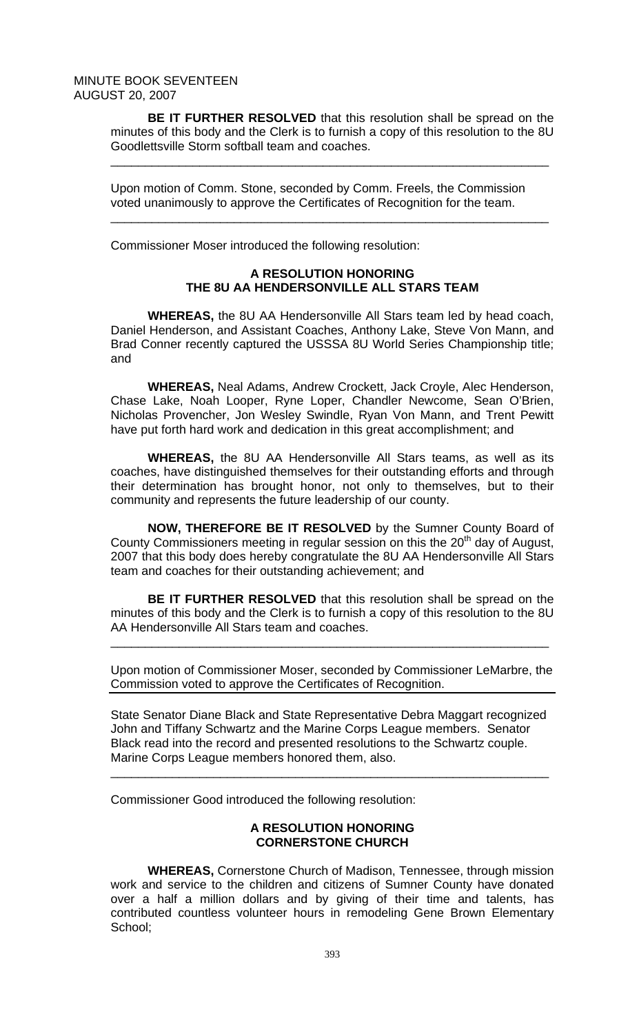**BE IT FURTHER RESOLVED** that this resolution shall be spread on the minutes of this body and the Clerk is to furnish a copy of this resolution to the 8U Goodlettsville Storm softball team and coaches.

\_\_\_\_\_\_\_\_\_\_\_\_\_\_\_\_\_\_\_\_\_\_\_\_\_\_\_\_\_\_\_\_\_\_\_\_\_\_\_\_\_\_\_\_\_\_\_\_\_\_\_\_\_\_\_\_\_\_\_\_\_\_\_\_

\_\_\_\_\_\_\_\_\_\_\_\_\_\_\_\_\_\_\_\_\_\_\_\_\_\_\_\_\_\_\_\_\_\_\_\_\_\_\_\_\_\_\_\_\_\_\_\_\_\_\_\_\_\_\_\_\_\_\_\_\_\_\_\_

Upon motion of Comm. Stone, seconded by Comm. Freels, the Commission voted unanimously to approve the Certificates of Recognition for the team.

Commissioner Moser introduced the following resolution:

# **A RESOLUTION HONORING THE 8U AA HENDERSONVILLE ALL STARS TEAM**

**WHEREAS,** the 8U AA Hendersonville All Stars team led by head coach, Daniel Henderson, and Assistant Coaches, Anthony Lake, Steve Von Mann, and Brad Conner recently captured the USSSA 8U World Series Championship title; and

 **WHEREAS,** Neal Adams, Andrew Crockett, Jack Croyle, Alec Henderson, Chase Lake, Noah Looper, Ryne Loper, Chandler Newcome, Sean O'Brien, Nicholas Provencher, Jon Wesley Swindle, Ryan Von Mann, and Trent Pewitt have put forth hard work and dedication in this great accomplishment; and

**WHEREAS,** the 8U AA Hendersonville All Stars teams, as well as its coaches, have distinguished themselves for their outstanding efforts and through their determination has brought honor, not only to themselves, but to their community and represents the future leadership of our county.

 **NOW, THEREFORE BE IT RESOLVED** by the Sumner County Board of County Commissioners meeting in regular session on this the 20<sup>th</sup> day of August, 2007 that this body does hereby congratulate the 8U AA Hendersonville All Stars team and coaches for their outstanding achievement; and

**BE IT FURTHER RESOLVED** that this resolution shall be spread on the minutes of this body and the Clerk is to furnish a copy of this resolution to the 8U AA Hendersonville All Stars team and coaches.

\_\_\_\_\_\_\_\_\_\_\_\_\_\_\_\_\_\_\_\_\_\_\_\_\_\_\_\_\_\_\_\_\_\_\_\_\_\_\_\_\_\_\_\_\_\_\_\_\_\_\_\_\_\_\_\_\_\_\_\_\_\_\_\_

Upon motion of Commissioner Moser, seconded by Commissioner LeMarbre, the Commission voted to approve the Certificates of Recognition.

State Senator Diane Black and State Representative Debra Maggart recognized John and Tiffany Schwartz and the Marine Corps League members. Senator Black read into the record and presented resolutions to the Schwartz couple. Marine Corps League members honored them, also.

\_\_\_\_\_\_\_\_\_\_\_\_\_\_\_\_\_\_\_\_\_\_\_\_\_\_\_\_\_\_\_\_\_\_\_\_\_\_\_\_\_\_\_\_\_\_\_\_\_\_\_\_\_\_\_\_\_\_\_\_\_\_\_\_

Commissioner Good introduced the following resolution:

# **A RESOLUTION HONORING CORNERSTONE CHURCH**

**WHEREAS,** Cornerstone Church of Madison, Tennessee, through mission work and service to the children and citizens of Sumner County have donated over a half a million dollars and by giving of their time and talents, has contributed countless volunteer hours in remodeling Gene Brown Elementary School;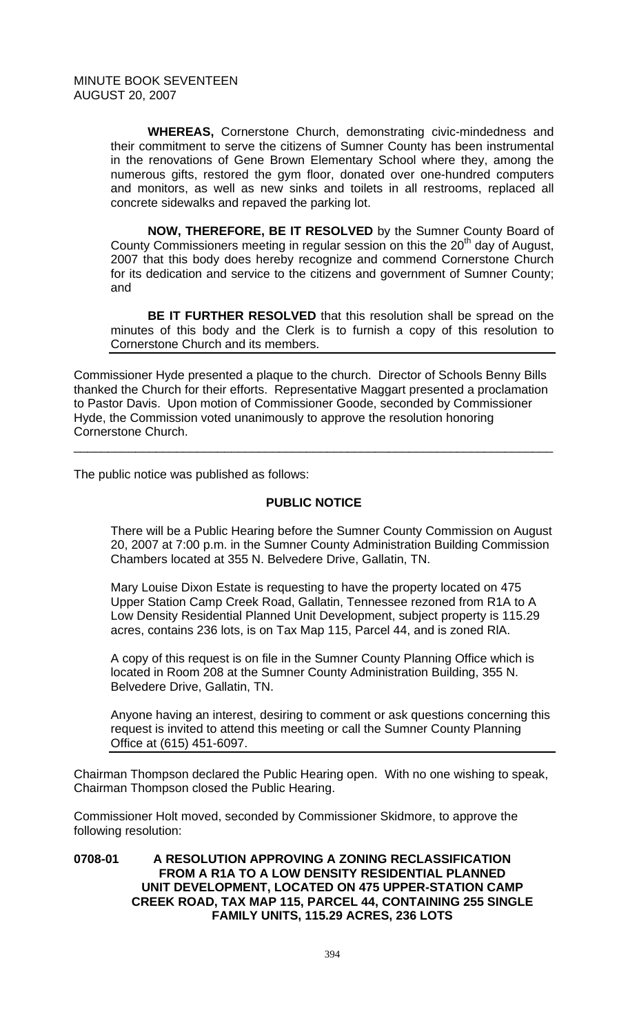**WHEREAS,** Cornerstone Church, demonstrating civic-mindedness and their commitment to serve the citizens of Sumner County has been instrumental in the renovations of Gene Brown Elementary School where they, among the numerous gifts, restored the gym floor, donated over one-hundred computers and monitors, as well as new sinks and toilets in all restrooms, replaced all concrete sidewalks and repaved the parking lot.

**NOW, THEREFORE, BE IT RESOLVED** by the Sumner County Board of County Commissioners meeting in regular session on this the  $20<sup>th</sup>$  day of August, 2007 that this body does hereby recognize and commend Cornerstone Church for its dedication and service to the citizens and government of Sumner County; and

**BE IT FURTHER RESOLVED** that this resolution shall be spread on the minutes of this body and the Clerk is to furnish a copy of this resolution to Cornerstone Church and its members.

Commissioner Hyde presented a plaque to the church. Director of Schools Benny Bills thanked the Church for their efforts. Representative Maggart presented a proclamation to Pastor Davis. Upon motion of Commissioner Goode, seconded by Commissioner Hyde, the Commission voted unanimously to approve the resolution honoring Cornerstone Church.

\_\_\_\_\_\_\_\_\_\_\_\_\_\_\_\_\_\_\_\_\_\_\_\_\_\_\_\_\_\_\_\_\_\_\_\_\_\_\_\_\_\_\_\_\_\_\_\_\_\_\_\_\_\_\_\_\_\_\_\_\_\_\_\_\_\_\_\_\_\_

The public notice was published as follows:

# **PUBLIC NOTICE**

There will be a Public Hearing before the Sumner County Commission on August 20, 2007 at 7:00 p.m. in the Sumner County Administration Building Commission Chambers located at 355 N. Belvedere Drive, Gallatin, TN.

Mary Louise Dixon Estate is requesting to have the property located on 475 Upper Station Camp Creek Road, Gallatin, Tennessee rezoned from R1A to A Low Density Residential Planned Unit Development, subject property is 115.29 acres, contains 236 lots, is on Tax Map 115, Parcel 44, and is zoned RlA.

A copy of this request is on file in the Sumner County Planning Office which is located in Room 208 at the Sumner County Administration Building, 355 N. Belvedere Drive, Gallatin, TN.

Anyone having an interest, desiring to comment or ask questions concerning this request is invited to attend this meeting or call the Sumner County Planning Office at (615) 451-6097.

Chairman Thompson declared the Public Hearing open. With no one wishing to speak, Chairman Thompson closed the Public Hearing.

Commissioner Holt moved, seconded by Commissioner Skidmore, to approve the following resolution:

**0708-01 A RESOLUTION APPROVING A ZONING RECLASSIFICATION FROM A R1A TO A LOW DENSITY RESIDENTIAL PLANNED UNIT DEVELOPMENT, LOCATED ON 475 UPPER-STATION CAMP CREEK ROAD, TAX MAP 115, PARCEL 44, CONTAINING 255 SINGLE FAMILY UNITS, 115.29 ACRES, 236 LOTS**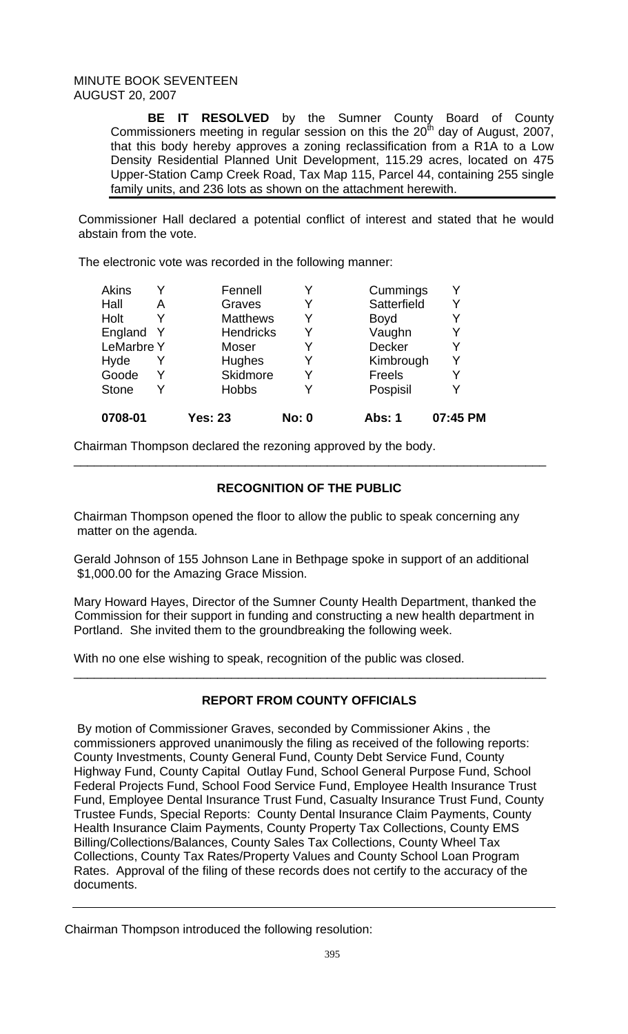**BE IT RESOLVED** by the Sumner County Board of County Commissioners meeting in regular session on this the  $20^{th}$  day of August, 2007, that this body hereby approves a zoning reclassification from a R1A to a Low Density Residential Planned Unit Development, 115.29 acres, located on 475 Upper-Station Camp Creek Road, Tax Map 115, Parcel 44, containing 255 single family units, and 236 lots as shown on the attachment herewith.

Commissioner Hall declared a potential conflict of interest and stated that he would abstain from the vote.

The electronic vote was recorded in the following manner:

| 0708-01           |   | <b>Yes: 23</b>   | <b>No: 0</b> | Abs: 1        | 07:45 PM |
|-------------------|---|------------------|--------------|---------------|----------|
| <b>Stone</b>      |   | <b>Hobbs</b>     | Y            | Pospisil      |          |
| Goode             |   | Skidmore         | Y            | <b>Freels</b> | Y        |
| Hyde              |   | <b>Hughes</b>    | Y            | Kimbrough     | Υ        |
| <b>LeMarbre Y</b> |   | Moser            | Y            | Decker        | Y        |
| England Y         |   | <b>Hendricks</b> | Y            | Vaughn        | Y        |
| Holt              |   | <b>Matthews</b>  | Y            | <b>Boyd</b>   |          |
| Hall              | А | Graves           | Y            | Satterfield   | Y        |
| Akins             |   | Fennell          |              | Cummings      |          |

Chairman Thompson declared the rezoning approved by the body.

# **RECOGNITION OF THE PUBLIC**

\_\_\_\_\_\_\_\_\_\_\_\_\_\_\_\_\_\_\_\_\_\_\_\_\_\_\_\_\_\_\_\_\_\_\_\_\_\_\_\_\_\_\_\_\_\_\_\_\_\_\_\_\_\_\_\_\_\_\_\_\_\_\_\_\_\_\_\_\_

Chairman Thompson opened the floor to allow the public to speak concerning any matter on the agenda.

Gerald Johnson of 155 Johnson Lane in Bethpage spoke in support of an additional \$1,000.00 for the Amazing Grace Mission.

Mary Howard Hayes, Director of the Sumner County Health Department, thanked the Commission for their support in funding and constructing a new health department in Portland. She invited them to the groundbreaking the following week.

With no one else wishing to speak, recognition of the public was closed.

# **REPORT FROM COUNTY OFFICIALS**

\_\_\_\_\_\_\_\_\_\_\_\_\_\_\_\_\_\_\_\_\_\_\_\_\_\_\_\_\_\_\_\_\_\_\_\_\_\_\_\_\_\_\_\_\_\_\_\_\_\_\_\_\_\_\_\_\_\_\_\_\_\_\_\_\_\_\_\_\_

 By motion of Commissioner Graves, seconded by Commissioner Akins , the commissioners approved unanimously the filing as received of the following reports: County Investments, County General Fund, County Debt Service Fund, County Highway Fund, County Capital Outlay Fund, School General Purpose Fund, School Federal Projects Fund, School Food Service Fund, Employee Health Insurance Trust Fund, Employee Dental Insurance Trust Fund, Casualty Insurance Trust Fund, County Trustee Funds, Special Reports: County Dental Insurance Claim Payments, County Health Insurance Claim Payments, County Property Tax Collections, County EMS Billing/Collections/Balances, County Sales Tax Collections, County Wheel Tax Collections, County Tax Rates/Property Values and County School Loan Program Rates. Approval of the filing of these records does not certify to the accuracy of the documents.

Chairman Thompson introduced the following resolution: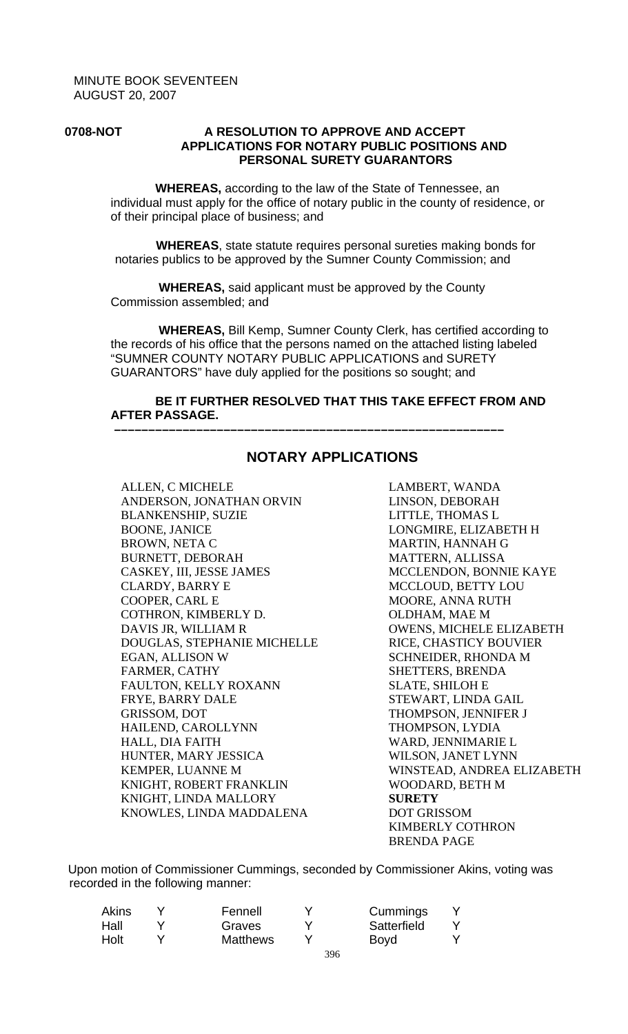### **0708-NOT A RESOLUTION TO APPROVE AND ACCEPT APPLICATIONS FOR NOTARY PUBLIC POSITIONS AND PERSONAL SURETY GUARANTORS**

 **WHEREAS,** according to the law of the State of Tennessee, an individual must apply for the office of notary public in the county of residence, or of their principal place of business; and

 **WHEREAS**, state statute requires personal sureties making bonds for notaries publics to be approved by the Sumner County Commission; and

 **WHEREAS,** said applicant must be approved by the County Commission assembled; and

 **–––––––––––––––––––––––––––––––––––––––––––––––––––––––––**

 **WHEREAS,** Bill Kemp, Sumner County Clerk, has certified according to the records of his office that the persons named on the attached listing labeled "SUMNER COUNTY NOTARY PUBLIC APPLICATIONS and SURETY GUARANTORS" have duly applied for the positions so sought; and

# **BE IT FURTHER RESOLVED THAT THIS TAKE EFFECT FROM AND AFTER PASSAGE.**

ALLEN, C MICHELE ANDERSON, JONATHAN ORVIN BLANKENSHIP, SUZIE BOONE, JANICE BROWN, NETA C BURNETT, DEBORAH CASKEY, III, JESSE JAMES CLARDY, BARRY E COOPER, CARL E COTHRON, KIMBERLY D. DAVIS JR, WILLIAM R DOUGLAS, STEPHANIE MICHELLE EGAN, ALLISON W FARMER, CATHY FAULTON, KELLY ROXANN FRYE, BARRY DALE GRISSOM, DOT HAILEND, CAROLLYNN HALL, DIA FAITH HUNTER, MARY JESSICA KEMPER, LUANNE M KNIGHT, ROBERT FRANKLIN KNIGHT, LINDA MALLORY KNOWLES, LINDA MADDALENA

# **NOTARY APPLICATIONS**

LAMBERT, WANDA LINSON, DEBORAH LITTLE, THOMAS L LONGMIRE, ELIZABETH H MARTIN, HANNAH G MATTERN, ALLISSA MCCLENDON, BONNIE KAYE MCCLOUD, BETTY LOU MOORE, ANNA RUTH OLDHAM, MAE M OWENS, MICHELE ELIZABETH RICE, CHASTICY BOUVIER SCHNEIDER, RHONDA M SHETTERS, BRENDA SLATE, SHILOH E STEWART, LINDA GAIL THOMPSON, JENNIFER J THOMPSON, LYDIA WARD, JENNIMARIE L WILSON, JANET LYNN WINSTEAD, ANDREA ELIZABETH WOODARD, BETH M **SURETY**  DOT GRISSOM KIMBERLY COTHRON BRENDA PAGE

 Upon motion of Commissioner Cummings, seconded by Commissioner Akins, voting was recorded in the following manner:

| Akins | Fennell         |     | Cummings    |  |
|-------|-----------------|-----|-------------|--|
| Hall  | Graves          |     | Satterfield |  |
| Holt  | <b>Matthews</b> |     | <b>Boyd</b> |  |
|       |                 | 396 |             |  |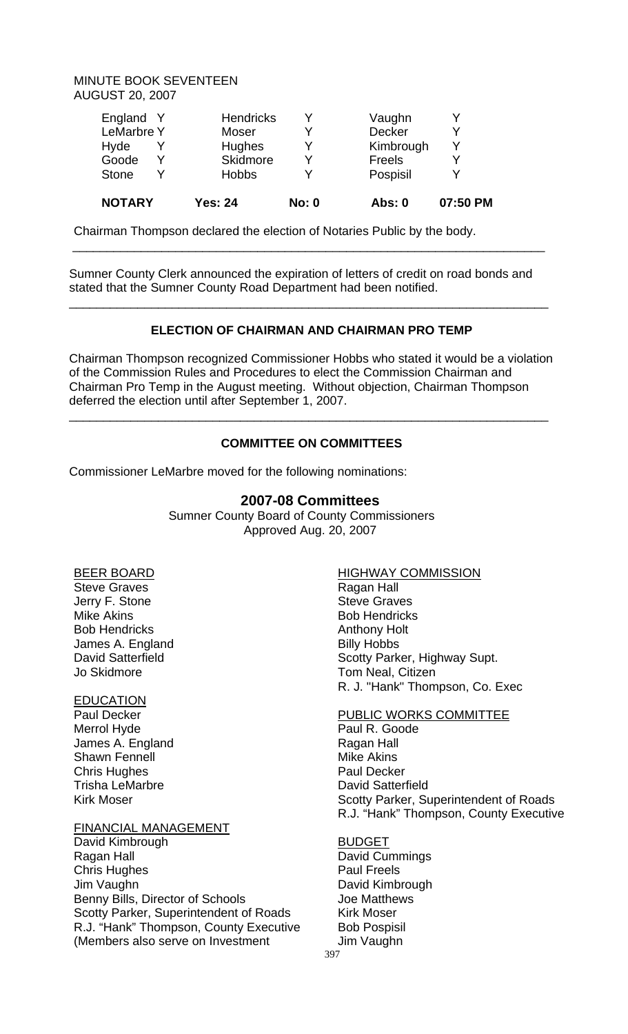|  | <b>NOTARY</b>     | <b>Yes: 24</b>   | <b>No: 0</b> | <b>Abs: 0</b> | 07:50 PM |
|--|-------------------|------------------|--------------|---------------|----------|
|  | <b>Stone</b>      | <b>Hobbs</b>     |              | Pospisil      |          |
|  | Goode             | Skidmore         |              | Freels        | ✓        |
|  | Hyde              | Hughes           |              | Kimbrough     | v        |
|  | <b>LeMarbre Y</b> | Moser            |              | <b>Decker</b> |          |
|  | England Y         | <b>Hendricks</b> |              | Vaughn        |          |
|  |                   |                  |              |               |          |

Chairman Thompson declared the election of Notaries Public by the body.

Sumner County Clerk announced the expiration of letters of credit on road bonds and stated that the Sumner County Road Department had been notified.

\_\_\_\_\_\_\_\_\_\_\_\_\_\_\_\_\_\_\_\_\_\_\_\_\_\_\_\_\_\_\_\_\_\_\_\_\_\_\_\_\_\_\_\_\_\_\_\_\_\_\_\_\_\_\_\_\_\_\_\_\_\_\_\_\_\_\_\_\_

# **ELECTION OF CHAIRMAN AND CHAIRMAN PRO TEMP**

\_\_\_\_\_\_\_\_\_\_\_\_\_\_\_\_\_\_\_\_\_\_\_\_\_\_\_\_\_\_\_\_\_\_\_\_\_\_\_\_\_\_\_\_\_\_\_\_\_\_\_\_\_\_\_\_\_\_\_\_\_\_\_\_\_\_\_\_\_\_

Chairman Thompson recognized Commissioner Hobbs who stated it would be a violation of the Commission Rules and Procedures to elect the Commission Chairman and Chairman Pro Temp in the August meeting. Without objection, Chairman Thompson deferred the election until after September 1, 2007.

# **COMMITTEE ON COMMITTEES**

\_\_\_\_\_\_\_\_\_\_\_\_\_\_\_\_\_\_\_\_\_\_\_\_\_\_\_\_\_\_\_\_\_\_\_\_\_\_\_\_\_\_\_\_\_\_\_\_\_\_\_\_\_\_\_\_\_\_\_\_\_\_\_\_\_\_\_\_\_\_

Commissioner LeMarbre moved for the following nominations:

# **2007-08 Committees**

 Sumner County Board of County Commissioners Approved Aug. 20, 2007

# BEER BOARD

Steve Graves Jerry F. Stone Mike Akins Bob Hendricks James A. England David Satterfield Jo Skidmore

# EDUCATION

Paul Decker Merrol Hyde James A. England Shawn Fennell Chris Hughes Trisha LeMarbre Kirk Moser

# FINANCIAL MANAGEMENT

David Kimbrough Ragan Hall Chris Hughes Jim Vaughn Benny Bills, Director of Schools Scotty Parker, Superintendent of Roads R.J. "Hank" Thompson, County Executive (Members also serve on Investment

### HIGHWAY COMMISSION

Ragan Hall Steve Graves Bob Hendricks Anthony Holt Billy Hobbs Scotty Parker, Highway Supt. Tom Neal, Citizen R. J. "Hank" Thompson, Co. Exec

# PUBLIC WORKS COMMITTEE

Paul R. Goode Ragan Hall Mike Akins Paul Decker David Satterfield Scotty Parker, Superintendent of Roads R.J. "Hank" Thompson, County Executive

### BUDGET

David Cummings Paul Freels David Kimbrough Joe Matthews Kirk Moser Bob Pospisil Jim Vaughn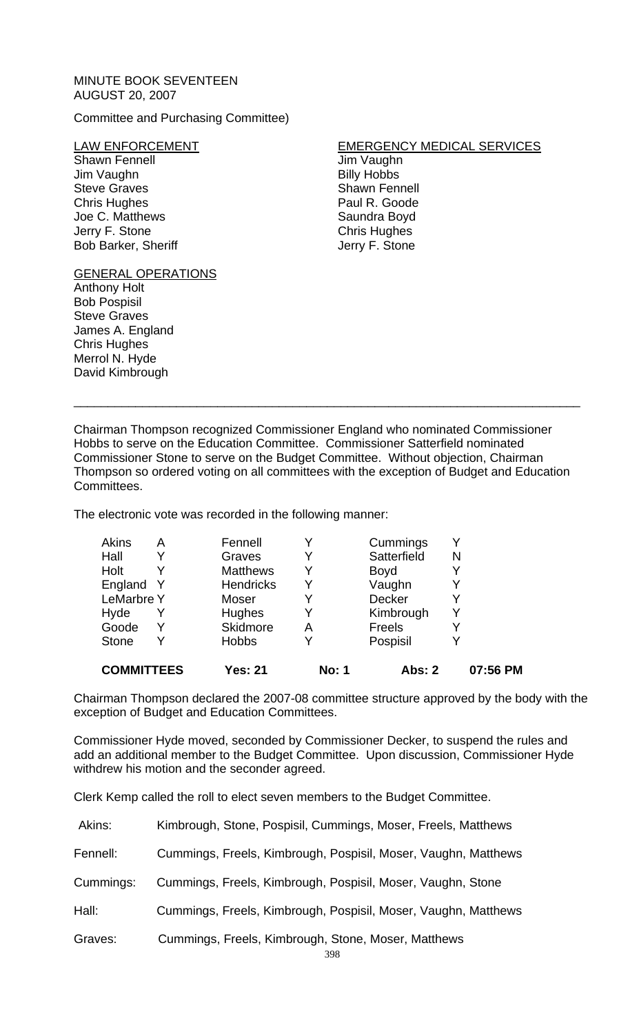# Committee and Purchasing Committee)

### LAW ENFORCEMENT

Shawn Fennell Jim Vaughn Steve Graves Chris Hughes Joe C. Matthews Jerry F. Stone Bob Barker, Sheriff

# GENERAL OPERATIONS

Anthony Holt Bob Pospisil Steve Graves James A. England Chris Hughes Merrol N. Hyde David Kimbrough

# EMERGENCY MEDICAL SERVICES

Jim Vaughn Billy Hobbs Shawn Fennell Paul R. Goode Saundra Boyd Chris Hughes Jerry F. Stone

Chairman Thompson recognized Commissioner England who nominated Commissioner Hobbs to serve on the Education Committee. Commissioner Satterfield nominated Commissioner Stone to serve on the Budget Committee. Without objection, Chairman Thompson so ordered voting on all committees with the exception of Budget and Education Committees.

\_\_\_\_\_\_\_\_\_\_\_\_\_\_\_\_\_\_\_\_\_\_\_\_\_\_\_\_\_\_\_\_\_\_\_\_\_\_\_\_\_\_\_\_\_\_\_\_\_\_\_\_\_\_\_\_\_\_\_\_\_\_\_\_\_\_\_\_\_\_\_\_\_\_

The electronic vote was recorded in the following manner:

| <b>COMMITTEES</b> |   | <b>Yes: 21</b>   | <b>No: 1</b> | Abs: 2        | 07:56 PM |
|-------------------|---|------------------|--------------|---------------|----------|
| <b>Stone</b>      | Υ | <b>Hobbs</b>     |              | Pospisil      |          |
| Goode             | Y | Skidmore         | Α            | Freels        |          |
| Hyde              | Y | Hughes           | Y            | Kimbrough     |          |
| <b>LeMarbre Y</b> |   | Moser            |              | <b>Decker</b> |          |
| England Y         |   | <b>Hendricks</b> |              | Vaughn        |          |
| Holt              |   | <b>Matthews</b>  |              | <b>Boyd</b>   |          |
| Hall              | Y | Graves           |              | Satterfield   | N        |
| <b>Akins</b>      | Α | Fennell          |              | Cummings      |          |

Chairman Thompson declared the 2007-08 committee structure approved by the body with the exception of Budget and Education Committees.

Commissioner Hyde moved, seconded by Commissioner Decker, to suspend the rules and add an additional member to the Budget Committee. Upon discussion, Commissioner Hyde withdrew his motion and the seconder agreed.

Clerk Kemp called the roll to elect seven members to the Budget Committee.

| Akins:    | Kimbrough, Stone, Pospisil, Cummings, Moser, Freels, Matthews  |
|-----------|----------------------------------------------------------------|
| Fennell:  | Cummings, Freels, Kimbrough, Pospisil, Moser, Vaughn, Matthews |
| Cummings: | Cummings, Freels, Kimbrough, Pospisil, Moser, Vaughn, Stone    |
| Hall:     | Cummings, Freels, Kimbrough, Pospisil, Moser, Vaughn, Matthews |
| Graves:   | Cummings, Freels, Kimbrough, Stone, Moser, Matthews<br>$\cap$  |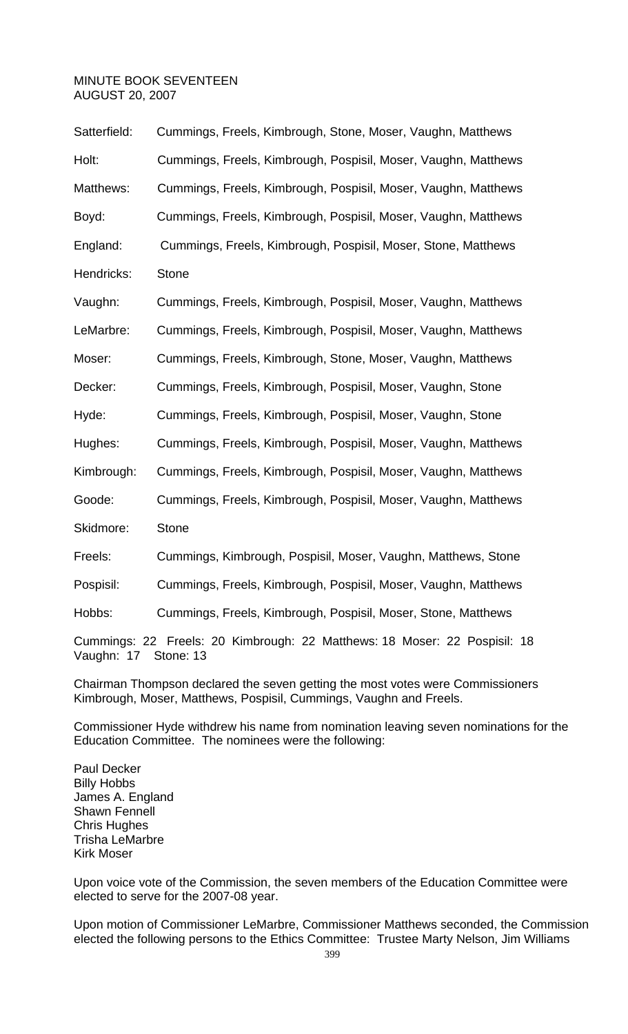| Satterfield: | Cummings, Freels, Kimbrough, Stone, Moser, Vaughn, Matthews    |
|--------------|----------------------------------------------------------------|
| Holt:        | Cummings, Freels, Kimbrough, Pospisil, Moser, Vaughn, Matthews |
| Matthews:    | Cummings, Freels, Kimbrough, Pospisil, Moser, Vaughn, Matthews |
| Boyd:        | Cummings, Freels, Kimbrough, Pospisil, Moser, Vaughn, Matthews |
| England:     | Cummings, Freels, Kimbrough, Pospisil, Moser, Stone, Matthews  |
| Hendricks:   | <b>Stone</b>                                                   |
| Vaughn:      | Cummings, Freels, Kimbrough, Pospisil, Moser, Vaughn, Matthews |
| LeMarbre:    | Cummings, Freels, Kimbrough, Pospisil, Moser, Vaughn, Matthews |
| Moser:       | Cummings, Freels, Kimbrough, Stone, Moser, Vaughn, Matthews    |
| Decker:      | Cummings, Freels, Kimbrough, Pospisil, Moser, Vaughn, Stone    |
| Hyde:        | Cummings, Freels, Kimbrough, Pospisil, Moser, Vaughn, Stone    |
| Hughes:      | Cummings, Freels, Kimbrough, Pospisil, Moser, Vaughn, Matthews |
| Kimbrough:   | Cummings, Freels, Kimbrough, Pospisil, Moser, Vaughn, Matthews |
| Goode:       | Cummings, Freels, Kimbrough, Pospisil, Moser, Vaughn, Matthews |
| Skidmore:    | <b>Stone</b>                                                   |
| Freels:      | Cummings, Kimbrough, Pospisil, Moser, Vaughn, Matthews, Stone  |
| Pospisil:    | Cummings, Freels, Kimbrough, Pospisil, Moser, Vaughn, Matthews |

Hobbs: Cummings, Freels, Kimbrough, Pospisil, Moser, Stone, Matthews

Cummings: 22 Freels: 20 Kimbrough: 22 Matthews: 18 Moser: 22 Pospisil: 18 Vaughn: 17 Stone: 13

Chairman Thompson declared the seven getting the most votes were Commissioners Kimbrough, Moser, Matthews, Pospisil, Cummings, Vaughn and Freels.

Commissioner Hyde withdrew his name from nomination leaving seven nominations for the Education Committee. The nominees were the following:

Paul Decker Billy Hobbs James A. England Shawn Fennell Chris Hughes Trisha LeMarbre Kirk Moser

Upon voice vote of the Commission, the seven members of the Education Committee were elected to serve for the 2007-08 year.

Upon motion of Commissioner LeMarbre, Commissioner Matthews seconded, the Commission elected the following persons to the Ethics Committee: Trustee Marty Nelson, Jim Williams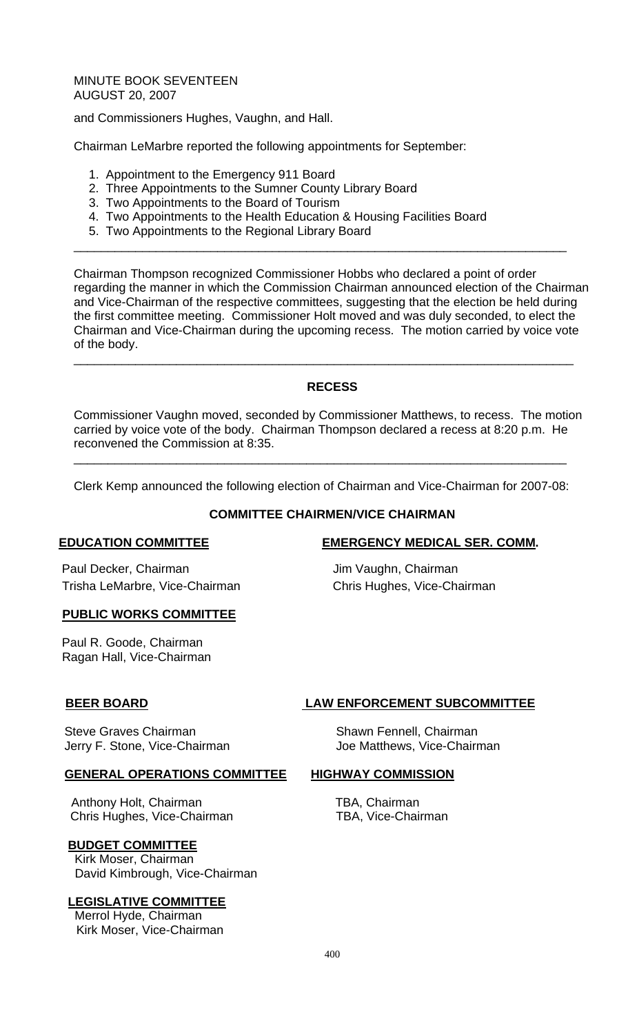and Commissioners Hughes, Vaughn, and Hall.

Chairman LeMarbre reported the following appointments for September:

- 1. Appointment to the Emergency 911 Board
- 2. Three Appointments to the Sumner County Library Board
- 3. Two Appointments to the Board of Tourism
- 4. Two Appointments to the Health Education & Housing Facilities Board
- 5. Two Appointments to the Regional Library Board

Chairman Thompson recognized Commissioner Hobbs who declared a point of order regarding the manner in which the Commission Chairman announced election of the Chairman and Vice-Chairman of the respective committees, suggesting that the election be held during the first committee meeting. Commissioner Holt moved and was duly seconded, to elect the Chairman and Vice-Chairman during the upcoming recess. The motion carried by voice vote of the body. \_\_\_\_\_\_\_\_\_\_\_\_\_\_\_\_\_\_\_\_\_\_\_\_\_\_\_\_\_\_\_\_\_\_\_\_\_\_\_\_\_\_\_\_\_\_\_\_\_\_\_\_\_\_\_\_\_\_\_\_\_\_\_\_\_\_\_\_\_\_\_\_\_

\_\_\_\_\_\_\_\_\_\_\_\_\_\_\_\_\_\_\_\_\_\_\_\_\_\_\_\_\_\_\_\_\_\_\_\_\_\_\_\_\_\_\_\_\_\_\_\_\_\_\_\_\_\_\_\_\_\_\_\_\_\_\_\_\_\_\_\_\_\_\_\_

# **RECESS**

Commissioner Vaughn moved, seconded by Commissioner Matthews, to recess. The motion carried by voice vote of the body. Chairman Thompson declared a recess at 8:20 p.m. He reconvened the Commission at 8:35.

Clerk Kemp announced the following election of Chairman and Vice-Chairman for 2007-08:

\_\_\_\_\_\_\_\_\_\_\_\_\_\_\_\_\_\_\_\_\_\_\_\_\_\_\_\_\_\_\_\_\_\_\_\_\_\_\_\_\_\_\_\_\_\_\_\_\_\_\_\_\_\_\_\_\_\_\_\_\_\_\_\_\_\_\_\_\_\_\_\_

# **COMMITTEE CHAIRMEN/VICE CHAIRMAN**

Paul Decker, Chairman Jim Vaughn, Chairman Trisha LeMarbre, Vice-Chairman Chris Hughes, Vice-Chairman

### **PUBLIC WORKS COMMITTEE**

Paul R. Goode, Chairman Ragan Hall, Vice-Chairman

Steve Graves Chairman Steve Graves Chairman Jerry F. Stone, Vice-Chairman Joe Matthews, Vice-Chairman

### **GENERAL OPERATIONS COMMITTEE HIGHWAY COMMISSION**

Anthony Holt, Chairman **TBA**, Chairman Chris Hughes, Vice-ChairmanTBA, Vice-Chairman

# **BUDGET COMMITTEE**

Kirk Moser, Chairman David Kimbrough, Vice-Chairman

# **LEGISLATIVE COMMITTEE**

 Merrol Hyde, Chairman Kirk Moser, Vice-Chairman

# **EDUCATION COMMITTEE EXERGENCY MEDICAL SER. COMM.**

# **BEER BOARD LAW ENFORCEMENT SUBCOMMITTEE**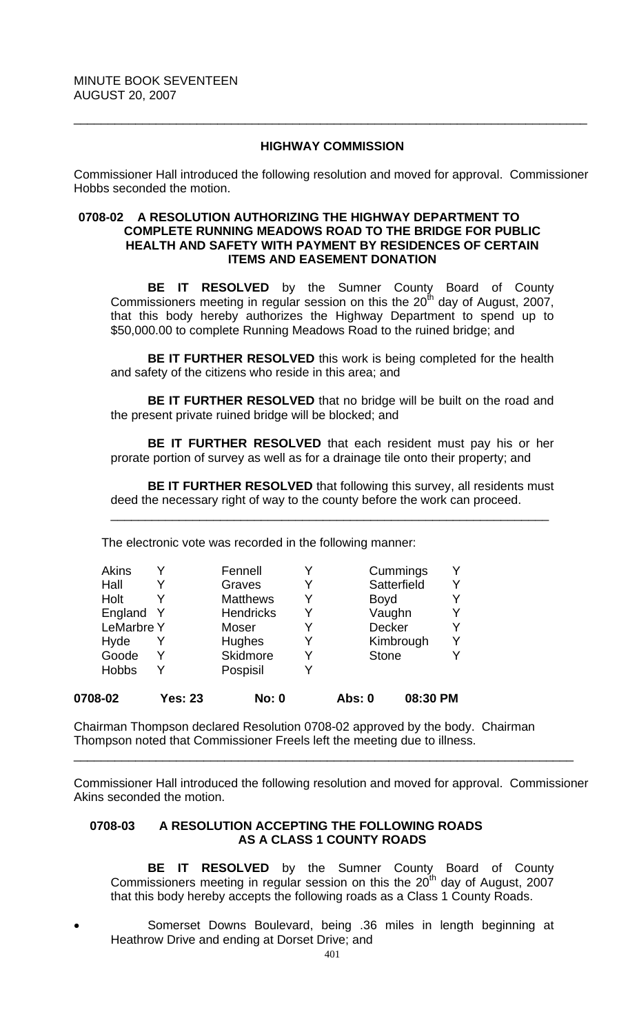# **HIGHWAY COMMISSION**

\_\_\_\_\_\_\_\_\_\_\_\_\_\_\_\_\_\_\_\_\_\_\_\_\_\_\_\_\_\_\_\_\_\_\_\_\_\_\_\_\_\_\_\_\_\_\_\_\_\_\_\_\_\_\_\_\_\_\_\_\_\_\_\_\_\_\_\_\_\_\_\_\_\_\_

Commissioner Hall introduced the following resolution and moved for approval. Commissioner Hobbs seconded the motion.

### **0708-02 A RESOLUTION AUTHORIZING THE HIGHWAY DEPARTMENT TO COMPLETE RUNNING MEADOWS ROAD TO THE BRIDGE FOR PUBLIC HEALTH AND SAFETY WITH PAYMENT BY RESIDENCES OF CERTAIN ITEMS AND EASEMENT DONATION**

 **BE IT RESOLVED** by the Sumner County Board of County Commissioners meeting in regular session on this the  $20^{th}$  day of August, 2007, that this body hereby authorizes the Highway Department to spend up to \$50,000.00 to complete Running Meadows Road to the ruined bridge; and

**BE IT FURTHER RESOLVED** this work is being completed for the health and safety of the citizens who reside in this area; and

**BE IT FURTHER RESOLVED** that no bridge will be built on the road and the present private ruined bridge will be blocked; and

**BE IT FURTHER RESOLVED** that each resident must pay his or her prorate portion of survey as well as for a drainage tile onto their property; and

**BE IT FURTHER RESOLVED** that following this survey, all residents must deed the necessary right of way to the county before the work can proceed.

\_\_\_\_\_\_\_\_\_\_\_\_\_\_\_\_\_\_\_\_\_\_\_\_\_\_\_\_\_\_\_\_\_\_\_\_\_\_\_\_\_\_\_\_\_\_\_\_\_\_\_\_\_\_\_\_\_\_\_\_\_\_\_\_

The electronic vote was recorded in the following manner:

| 0708-02      | <b>Yes: 23</b>    |                  | <b>No: 0</b> | <b>Abs: 0</b> | 08:30 PM     |  |
|--------------|-------------------|------------------|--------------|---------------|--------------|--|
| <b>Hobbs</b> | Y                 | Pospisil         | Y            |               |              |  |
| Goode        | Y                 | Skidmore         | Y            |               | <b>Stone</b> |  |
| Hyde         |                   | Hughes           | Y            |               | Kimbrough    |  |
|              | <b>LeMarbre Y</b> | <b>Moser</b>     | Y            |               | Decker       |  |
| England      | - Y               | <b>Hendricks</b> | Y            |               | Vaughn       |  |
| Holt         |                   | <b>Matthews</b>  | Y            | <b>Boyd</b>   |              |  |
| Hall         |                   | Graves           | Y            |               | Satterfield  |  |
| <b>Akins</b> |                   | Fennell          | Y            |               | Cummings     |  |

Chairman Thompson declared Resolution 0708-02 approved by the body. Chairman Thompson noted that Commissioner Freels left the meeting due to illness.

Commissioner Hall introduced the following resolution and moved for approval. Commissioner Akins seconded the motion.

\_\_\_\_\_\_\_\_\_\_\_\_\_\_\_\_\_\_\_\_\_\_\_\_\_\_\_\_\_\_\_\_\_\_\_\_\_\_\_\_\_\_\_\_\_\_\_\_\_\_\_\_\_\_\_\_\_\_\_\_\_\_\_\_\_\_\_\_\_\_\_\_\_

# **0708-03 A RESOLUTION ACCEPTING THE FOLLOWING ROADS AS A CLASS 1 COUNTY ROADS**

**BE IT RESOLVED** by the Sumner County Board of County Commissioners meeting in regular session on this the  $20<sup>th</sup>$  day of August, 2007 that this body hereby accepts the following roads as a Class 1 County Roads.

• Somerset Downs Boulevard, being .36 miles in length beginning at Heathrow Drive and ending at Dorset Drive; and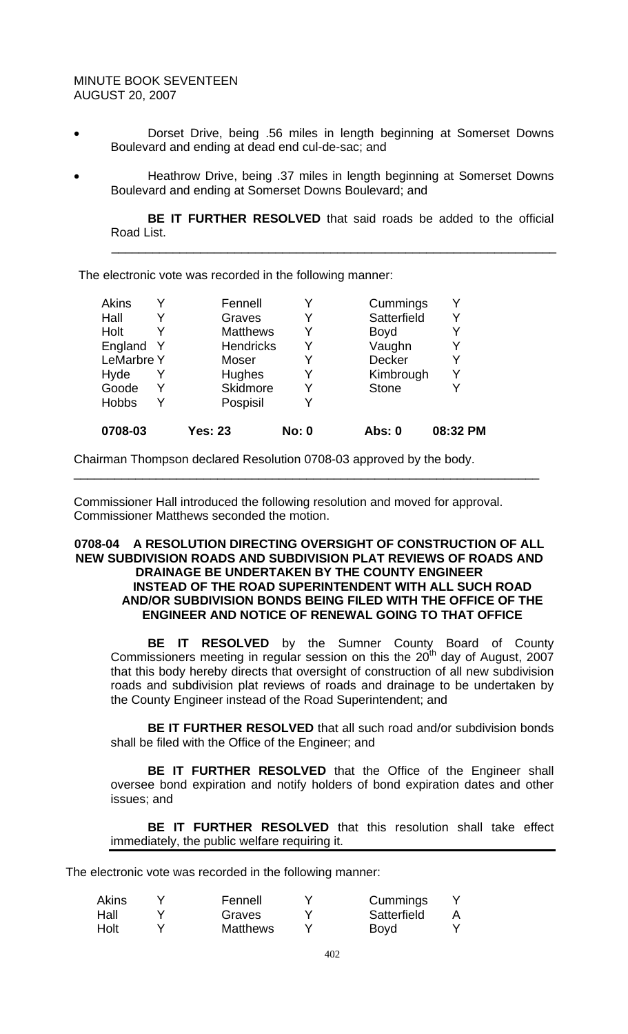- Dorset Drive, being .56 miles in length beginning at Somerset Downs Boulevard and ending at dead end cul-de-sac; and
- Heathrow Drive, being .37 miles in length beginning at Somerset Downs Boulevard and ending at Somerset Downs Boulevard; and

 $\frac{1}{2}$  ,  $\frac{1}{2}$  ,  $\frac{1}{2}$  ,  $\frac{1}{2}$  ,  $\frac{1}{2}$  ,  $\frac{1}{2}$  ,  $\frac{1}{2}$  ,  $\frac{1}{2}$  ,  $\frac{1}{2}$  ,  $\frac{1}{2}$  ,  $\frac{1}{2}$  ,  $\frac{1}{2}$  ,  $\frac{1}{2}$  ,  $\frac{1}{2}$  ,  $\frac{1}{2}$  ,  $\frac{1}{2}$  ,  $\frac{1}{2}$  ,  $\frac{1}{2}$  ,  $\frac{1$ 

**BE IT FURTHER RESOLVED** that said roads be added to the official Road List.

The electronic vote was recorded in the following manner:

| 0708-03           | <b>Yes: 23</b>   | <b>No: 0</b> | Abs: 0       | 08:32 PM |
|-------------------|------------------|--------------|--------------|----------|
| <b>Hobbs</b>      | Pospisil         | Y            |              |          |
| Goode             | Skidmore         | Y            | <b>Stone</b> |          |
| Hyde              | Hughes           | Y            | Kimbrough    | Y        |
| <b>LeMarbre Y</b> | Moser            | Y            | Decker       | Y        |
| England Y         | <b>Hendricks</b> | Y            | Vaughn       | Y        |
| Holt              | <b>Matthews</b>  | Y            | <b>Boyd</b>  |          |
| Hall              | Graves           | Y            | Satterfield  |          |
| Akins             | Fennell          |              | Cummings     | v        |

Chairman Thompson declared Resolution 0708-03 approved by the body.

Commissioner Hall introduced the following resolution and moved for approval. Commissioner Matthews seconded the motion.

### **0708-04 A RESOLUTION DIRECTING OVERSIGHT OF CONSTRUCTION OF ALL NEW SUBDIVISION ROADS AND SUBDIVISION PLAT REVIEWS OF ROADS AND DRAINAGE BE UNDERTAKEN BY THE COUNTY ENGINEER INSTEAD OF THE ROAD SUPERINTENDENT WITH ALL SUCH ROAD AND/OR SUBDIVISION BONDS BEING FILED WITH THE OFFICE OF THE ENGINEER AND NOTICE OF RENEWAL GOING TO THAT OFFICE**

\_\_\_\_\_\_\_\_\_\_\_\_\_\_\_\_\_\_\_\_\_\_\_\_\_\_\_\_\_\_\_\_\_\_\_\_\_\_\_\_\_\_\_\_\_\_\_\_\_\_\_\_\_\_\_\_\_\_\_\_\_\_\_\_\_\_\_\_

 **BE IT RESOLVED** by the Sumner County Board of County Commissioners meeting in regular session on this the  $20<sup>th</sup>$  day of August, 2007 that this body hereby directs that oversight of construction of all new subdivision roads and subdivision plat reviews of roads and drainage to be undertaken by the County Engineer instead of the Road Superintendent; and

**BE IT FURTHER RESOLVED** that all such road and/or subdivision bonds shall be filed with the Office of the Engineer; and

**BE IT FURTHER RESOLVED** that the Office of the Engineer shall oversee bond expiration and notify holders of bond expiration dates and other issues; and

**BE IT FURTHER RESOLVED** that this resolution shall take effect immediately, the public welfare requiring it.

The electronic vote was recorded in the following manner:

| <b>Akins</b> | Fennell         | Cummings    |  |
|--------------|-----------------|-------------|--|
| Hall         | Graves          | Satterfield |  |
| Holt         | <b>Matthews</b> | <b>Boyd</b> |  |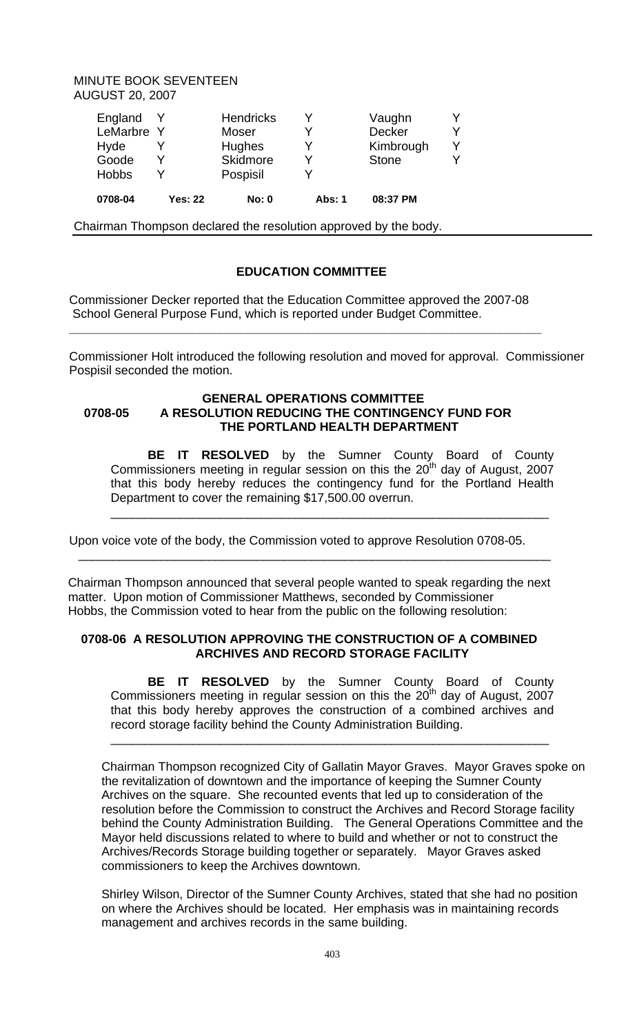| England Y<br>LeMarbre Y<br>Hyde<br>Goode<br><b>Hobbs</b> |                | <b>Hendricks</b><br>Moser<br>Hughes<br><b>Skidmore</b><br>Pospisil | v<br>v<br>∨   | Vaughn<br>Decker<br>Kimbrough<br><b>Stone</b> | ∨ |
|----------------------------------------------------------|----------------|--------------------------------------------------------------------|---------------|-----------------------------------------------|---|
| 0708-04                                                  | <b>Yes: 22</b> | No: 0                                                              | <b>Abs: 1</b> | 08:37 PM                                      |   |

Chairman Thompson declared the resolution approved by the body.

# **EDUCATION COMMITTEE**

Commissioner Decker reported that the Education Committee approved the 2007-08 School General Purpose Fund, which is reported under Budget Committee.

**\_\_\_\_\_\_\_\_\_\_\_\_\_\_\_\_\_\_\_\_\_\_\_\_\_\_\_\_\_\_\_\_\_\_\_\_\_\_\_\_\_\_\_\_\_\_\_\_\_\_\_\_\_\_\_\_\_\_\_\_\_\_\_\_\_\_\_\_\_** 

Commissioner Holt introduced the following resolution and moved for approval. Commissioner Pospisil seconded the motion.

# **GENERAL OPERATIONS COMMITTEE 0708-05 A RESOLUTION REDUCING THE CONTINGENCY FUND FOR THE PORTLAND HEALTH DEPARTMENT**

**BE IT RESOLVED** by the Sumner County Board of County Commissioners meeting in regular session on this the  $20<sup>th</sup>$  day of August, 2007 that this body hereby reduces the contingency fund for the Portland Health Department to cover the remaining \$17,500.00 overrun.

\_\_\_\_\_\_\_\_\_\_\_\_\_\_\_\_\_\_\_\_\_\_\_\_\_\_\_\_\_\_\_\_\_\_\_\_\_\_\_\_\_\_\_\_\_\_\_\_\_\_\_\_\_\_\_\_\_\_\_\_\_\_\_\_

Upon voice vote of the body, the Commission voted to approve Resolution 0708-05.

 Chairman Thompson announced that several people wanted to speak regarding the next matter. Upon motion of Commissioner Matthews, seconded by Commissioner Hobbs, the Commission voted to hear from the public on the following resolution:

\_\_\_\_\_\_\_\_\_\_\_\_\_\_\_\_\_\_\_\_\_\_\_\_\_\_\_\_\_\_\_\_\_\_\_\_\_\_\_\_\_\_\_\_\_\_\_\_\_\_\_\_\_\_\_\_\_\_\_\_\_\_\_\_\_\_\_\_\_

### **0708-06 A RESOLUTION APPROVING THE CONSTRUCTION OF A COMBINED ARCHIVES AND RECORD STORAGE FACILITY**

**BE IT RESOLVED** by the Sumner County Board of County Commissioners meeting in regular session on this the  $20<sup>th</sup>$  day of August, 2007 that this body hereby approves the construction of a combined archives and record storage facility behind the County Administration Building.

\_\_\_\_\_\_\_\_\_\_\_\_\_\_\_\_\_\_\_\_\_\_\_\_\_\_\_\_\_\_\_\_\_\_\_\_\_\_\_\_\_\_\_\_\_\_\_\_\_\_\_\_\_\_\_\_\_\_\_\_\_\_\_\_

Chairman Thompson recognized City of Gallatin Mayor Graves. Mayor Graves spoke on the revitalization of downtown and the importance of keeping the Sumner County Archives on the square. She recounted events that led up to consideration of the resolution before the Commission to construct the Archives and Record Storage facility behind the County Administration Building. The General Operations Committee and the Mayor held discussions related to where to build and whether or not to construct the Archives/Records Storage building together or separately. Mayor Graves asked commissioners to keep the Archives downtown.

Shirley Wilson, Director of the Sumner County Archives, stated that she had no position on where the Archives should be located. Her emphasis was in maintaining records management and archives records in the same building.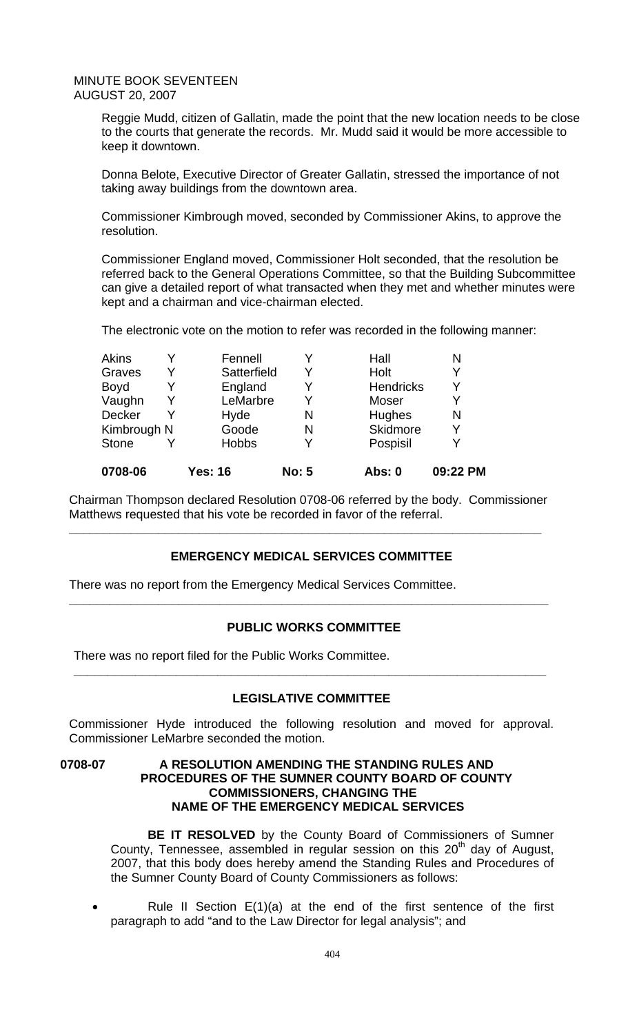Reggie Mudd, citizen of Gallatin, made the point that the new location needs to be close to the courts that generate the records. Mr. Mudd said it would be more accessible to keep it downtown.

Donna Belote, Executive Director of Greater Gallatin, stressed the importance of not taking away buildings from the downtown area.

Commissioner Kimbrough moved, seconded by Commissioner Akins, to approve the resolution.

Commissioner England moved, Commissioner Holt seconded, that the resolution be referred back to the General Operations Committee, so that the Building Subcommittee can give a detailed report of what transacted when they met and whether minutes were kept and a chairman and vice-chairman elected.

The electronic vote on the motion to refer was recorded in the following manner:

| 0708-06      | <b>Yes: 16</b> | <b>No: 5</b> | Abs: 0           | 09:22 PM |
|--------------|----------------|--------------|------------------|----------|
| <b>Stone</b> | <b>Hobbs</b>   | Y            | Pospisil         | Y        |
| Kimbrough N  | Goode          | N            | Skidmore         | Υ        |
| Decker       | Hyde           | N            | Hughes           | N        |
| Vaughn       | LeMarbre       | Y            | Moser            | Y        |
| <b>Boyd</b>  | England        | Y            | <b>Hendricks</b> | Y        |
| Graves       | Satterfield    | Y            | Holt             | Y        |
| <b>Akins</b> | Fennell        |              | Hall             | N        |

Chairman Thompson declared Resolution 0708-06 referred by the body. Commissioner Matthews requested that his vote be recorded in favor of the referral.

**\_\_\_\_\_\_\_\_\_\_\_\_\_\_\_\_\_\_\_\_\_\_\_\_\_\_\_\_\_\_\_\_\_\_\_\_\_\_\_\_\_\_\_\_\_\_\_\_\_\_\_\_\_\_\_\_\_\_\_\_\_\_\_\_\_\_\_\_\_** 

# **EMERGENCY MEDICAL SERVICES COMMITTEE**

There was no report from the Emergency Medical Services Committee.

### **PUBLIC WORKS COMMITTEE**

**\_\_\_\_\_\_\_\_\_\_\_\_\_\_\_\_\_\_\_\_\_\_\_\_\_\_\_\_\_\_\_\_\_\_\_\_\_\_\_\_\_\_\_\_\_\_\_\_\_\_\_\_\_\_\_\_\_\_\_\_\_\_\_\_\_\_\_\_\_\_** 

There was no report filed for the Public Works Committee.

### **LEGISLATIVE COMMITTEE**

**\_\_\_\_\_\_\_\_\_\_\_\_\_\_\_\_\_\_\_\_\_\_\_\_\_\_\_\_\_\_\_\_\_\_\_\_\_\_\_\_\_\_\_\_\_\_\_\_\_\_\_\_\_\_\_\_\_\_\_\_\_\_\_\_\_\_\_\_\_** 

Commissioner Hyde introduced the following resolution and moved for approval. Commissioner LeMarbre seconded the motion.

### **0708-07 A RESOLUTION AMENDING THE STANDING RULES AND PROCEDURES OF THE SUMNER COUNTY BOARD OF COUNTY COMMISSIONERS, CHANGING THE NAME OF THE EMERGENCY MEDICAL SERVICES**

**BE IT RESOLVED** by the County Board of Commissioners of Sumner County, Tennessee, assembled in regular session on this  $20<sup>th</sup>$  day of August, 2007, that this body does hereby amend the Standing Rules and Procedures of the Sumner County Board of County Commissioners as follows:

• Rule II Section E(1)(a) at the end of the first sentence of the first paragraph to add "and to the Law Director for legal analysis"; and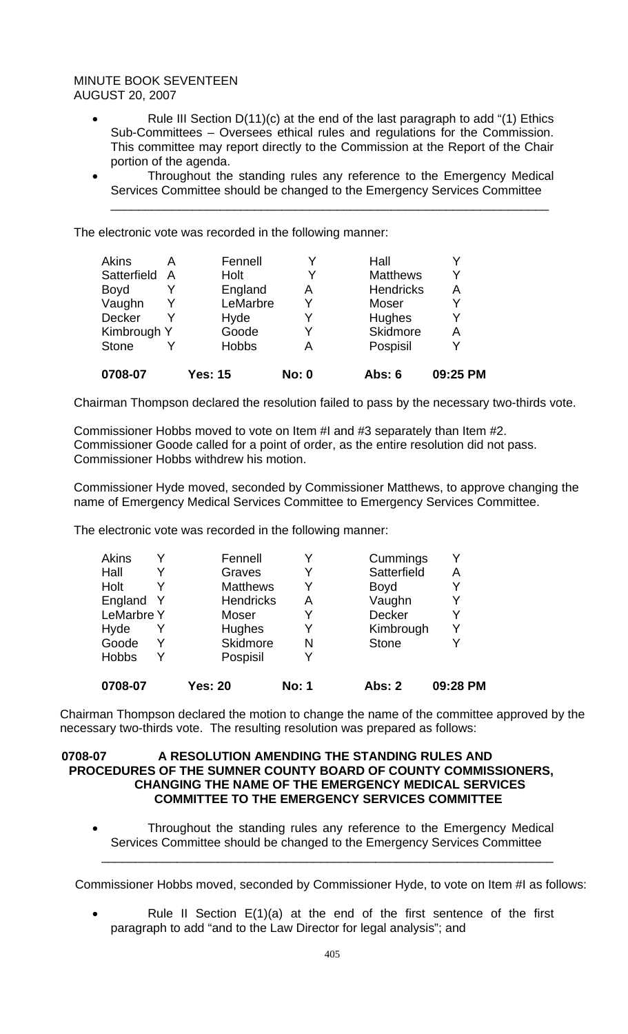- Rule III Section D(11)(c) at the end of the last paragraph to add "(1) Ethics Sub-Committees – Oversees ethical rules and regulations for the Commission. This committee may report directly to the Commission at the Report of the Chair portion of the agenda.
- Throughout the standing rules any reference to the Emergency Medical Services Committee should be changed to the Emergency Services Committee \_\_\_\_\_\_\_\_\_\_\_\_\_\_\_\_\_\_\_\_\_\_\_\_\_\_\_\_\_\_\_\_\_\_\_\_\_\_\_\_\_\_\_\_\_\_\_\_\_\_\_\_\_\_\_\_\_\_\_\_\_\_\_\_

The electronic vote was recorded in the following manner:

| 0708-07       |   | <b>Yes: 15</b> | <b>No: 0</b> | <b>Abs: 6</b>    | 09:25 PM |
|---------------|---|----------------|--------------|------------------|----------|
| <b>Stone</b>  |   | <b>Hobbs</b>   | Α            | Pospisil         | V        |
| Kimbrough Y   |   | Goode          | Y            | Skidmore         | Α        |
| <b>Decker</b> |   | Hyde           | Y            | <b>Hughes</b>    | v        |
| Vaughn        |   | LeMarbre       | Y            | Moser            | Y        |
| <b>Boyd</b>   |   | England        | А            | <b>Hendricks</b> | A        |
| Satterfield   | A | Holt           | Y            | <b>Matthews</b>  | v        |
| <b>Akins</b>  | А | Fennell        |              | Hall             |          |

Chairman Thompson declared the resolution failed to pass by the necessary two-thirds vote.

Commissioner Hobbs moved to vote on Item #I and #3 separately than Item #2. Commissioner Goode called for a point of order, as the entire resolution did not pass. Commissioner Hobbs withdrew his motion.

Commissioner Hyde moved, seconded by Commissioner Matthews, to approve changing the name of Emergency Medical Services Committee to Emergency Services Committee.

The electronic vote was recorded in the following manner:

| 0708-07           | Yes: 20          | <b>No: 1</b> | Abs: 2       | 09:28 PM |
|-------------------|------------------|--------------|--------------|----------|
| <b>Hobbs</b>      | Pospisil         | Y            |              |          |
| Goode             | <b>Skidmore</b>  | N            | <b>Stone</b> |          |
| Hyde              | Hughes           | Y            | Kimbrough    | Y        |
| <b>LeMarbre Y</b> | Moser            | Y            | Decker       | Y        |
| England           | <b>Hendricks</b> | Α            | Vaughn       |          |
| Holt              | <b>Matthews</b>  | Y            | <b>Boyd</b>  |          |
| Hall              | Graves           | Y            | Satterfield  | Α        |
| <b>Akins</b>      | Fennell          | Y            | Cummings     |          |

Chairman Thompson declared the motion to change the name of the committee approved by the necessary two-thirds vote. The resulting resolution was prepared as follows:

# **0708-07 A RESOLUTION AMENDING THE STANDING RULES AND PROCEDURES OF THE SUMNER COUNTY BOARD OF COUNTY COMMISSIONERS, CHANGING THE NAME OF THE EMERGENCY MEDICAL SERVICES COMMITTEE TO THE EMERGENCY SERVICES COMMITTEE**

• Throughout the standing rules any reference to the Emergency Medical Services Committee should be changed to the Emergency Services Committee

Commissioner Hobbs moved, seconded by Commissioner Hyde, to vote on Item #I as follows:

\_\_\_\_\_\_\_\_\_\_\_\_\_\_\_\_\_\_\_\_\_\_\_\_\_\_\_\_\_\_\_\_\_\_\_\_\_\_\_\_\_\_\_\_\_\_\_\_\_\_\_\_\_\_\_\_\_\_\_\_\_\_\_\_\_\_

Rule II Section  $E(1)(a)$  at the end of the first sentence of the first paragraph to add "and to the Law Director for legal analysis"; and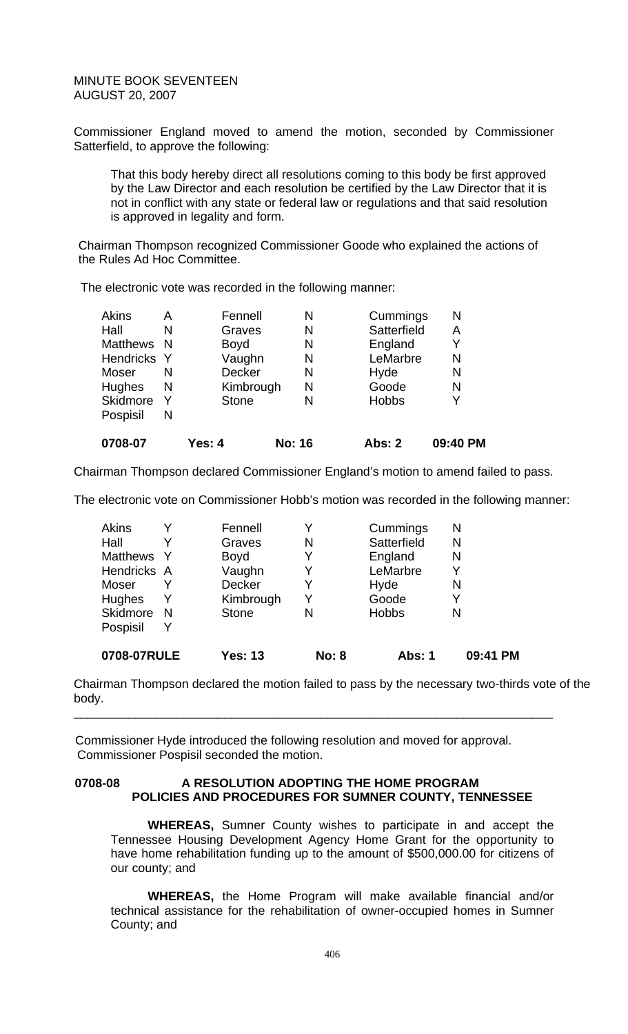Commissioner England moved to amend the motion, seconded by Commissioner Satterfield, to approve the following:

That this body hereby direct all resolutions coming to this body be first approved by the Law Director and each resolution be certified by the Law Director that it is not in conflict with any state or federal law or regulations and that said resolution is approved in legality and form.

Chairman Thompson recognized Commissioner Goode who explained the actions of the Rules Ad Hoc Committee.

The electronic vote was recorded in the following manner:

| 0708-07          |     | Yes: 4        | <b>No: 16</b> | Abs: 2       | 09:40 PM |
|------------------|-----|---------------|---------------|--------------|----------|
| Pospisil         | N   |               |               |              |          |
| Skidmore         | Y   | <b>Stone</b>  | N             | <b>Hobbs</b> | Y        |
| Hughes           | N   | Kimbrough     | N             | Goode        | N        |
| Moser            | N   | <b>Decker</b> | N             | Hyde         | N        |
| <b>Hendricks</b> | - Y | Vaughn        | N             | LeMarbre     | N        |
| Matthews N       |     | <b>Boyd</b>   | N             | England      | Y        |
| Hall             | N   | Graves        | N             | Satterfield  | Α        |
| Akins            | Α   | Fennell       | N             | Cummings     | N        |

Chairman Thompson declared Commissioner England's motion to amend failed to pass.

The electronic vote on Commissioner Hobb's motion was recorded in the following manner:

| 0708-07RULE     |    | <b>Yes: 13</b> | <b>No: 8</b> | <b>Abs: 1</b> | 09:41 PM |
|-----------------|----|----------------|--------------|---------------|----------|
| Pospisil        | Y  |                |              |               |          |
| Skidmore        | N  | <b>Stone</b>   | N            | <b>Hobbs</b>  | N        |
| Hughes          | Y  | Kimbrough      | Y            | Goode         | Y        |
| Moser           |    | <b>Decker</b>  | Y            | Hyde          | N        |
| Hendricks A     |    | Vaughn         | Y            | LeMarbre      |          |
| <b>Matthews</b> | -Y | <b>Boyd</b>    |              | England       | N        |
| Hall            |    | Graves         | N            | Satterfield   | N        |
| Akins           |    | Fennell        |              | Cummings      | N        |

Chairman Thompson declared the motion failed to pass by the necessary two-thirds vote of the body.

\_\_\_\_\_\_\_\_\_\_\_\_\_\_\_\_\_\_\_\_\_\_\_\_\_\_\_\_\_\_\_\_\_\_\_\_\_\_\_\_\_\_\_\_\_\_\_\_\_\_\_\_\_\_\_\_\_\_\_\_\_\_\_\_\_\_\_\_\_\_

Commissioner Hyde introduced the following resolution and moved for approval. Commissioner Pospisil seconded the motion.

### 0708-08 A RESOLUTION ADOPTING THE HOME PROGRAM **POLICIES AND PROCEDURES FOR SUMNER COUNTY, TENNESSEE**

**WHEREAS,** Sumner County wishes to participate in and accept the Tennessee Housing Development Agency Home Grant for the opportunity to have home rehabilitation funding up to the amount of \$500,000.00 for citizens of our county; and

**WHEREAS,** the Home Program will make available financial and/or technical assistance for the rehabilitation of owner-occupied homes in Sumner County; and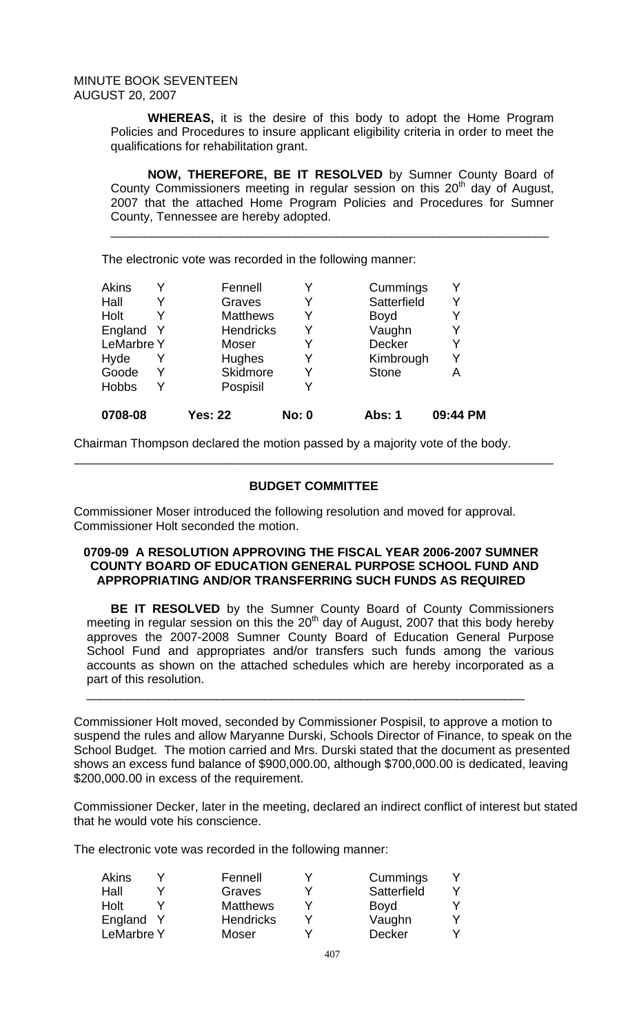**WHEREAS,** it is the desire of this body to adopt the Home Program Policies and Procedures to insure applicant eligibility criteria in order to meet the qualifications for rehabilitation grant.

**NOW, THEREFORE, BE IT RESOLVED** by Sumner County Board of County Commissioners meeting in regular session on this  $20<sup>th</sup>$  day of August, 2007 that the attached Home Program Policies and Procedures for Sumner County, Tennessee are hereby adopted.

\_\_\_\_\_\_\_\_\_\_\_\_\_\_\_\_\_\_\_\_\_\_\_\_\_\_\_\_\_\_\_\_\_\_\_\_\_\_\_\_\_\_\_\_\_\_\_\_\_\_\_\_\_\_\_\_\_\_\_\_\_\_\_\_

The electronic vote was recorded in the following manner:

| 0708-08           | <b>Yes: 22</b>   | <b>No: 0</b> | Abs: 1       | 09:44 PM |
|-------------------|------------------|--------------|--------------|----------|
| <b>Hobbs</b>      | Pospisil         | Y            |              |          |
| Goode             | <b>Skidmore</b>  | Y            | <b>Stone</b> | A        |
| Hyde              | Hughes           | Y            | Kimbrough    | Y        |
| <b>LeMarbre Y</b> | Moser            | Y            | Decker       |          |
| England Y         | <b>Hendricks</b> | Y            | Vaughn       |          |
| Holt              | <b>Matthews</b>  | Y            | <b>Boyd</b>  |          |
| Hall              | Graves           | Y            | Satterfield  | Y        |
| Akins             | Fennell          | Y            | Cummings     |          |

Chairman Thompson declared the motion passed by a majority vote of the body.

# **BUDGET COMMITTEE**

\_\_\_\_\_\_\_\_\_\_\_\_\_\_\_\_\_\_\_\_\_\_\_\_\_\_\_\_\_\_\_\_\_\_\_\_\_\_\_\_\_\_\_\_\_\_\_\_\_\_\_\_\_\_\_\_\_\_\_\_\_\_\_\_\_\_\_\_\_\_

Commissioner Moser introduced the following resolution and moved for approval. Commissioner Holt seconded the motion.

### **0709-09 A RESOLUTION APPROVING THE FISCAL YEAR 2006-2007 SUMNER COUNTY BOARD OF EDUCATION GENERAL PURPOSE SCHOOL FUND AND APPROPRIATING AND/OR TRANSFERRING SUCH FUNDS AS REQUIRED**

 **BE IT RESOLVED** by the Sumner County Board of County Commissioners meeting in regular session on this the  $20<sup>th</sup>$  day of August, 2007 that this body hereby approves the 2007-2008 Sumner County Board of Education General Purpose School Fund and appropriates and/or transfers such funds among the various accounts as shown on the attached schedules which are hereby incorporated as a part of this resolution.

\_\_\_\_\_\_\_\_\_\_\_\_\_\_\_\_\_\_\_\_\_\_\_\_\_\_\_\_\_\_\_\_\_\_\_\_\_\_\_\_\_\_\_\_\_\_\_\_\_\_\_\_\_\_\_\_\_\_\_\_\_\_\_\_

Commissioner Holt moved, seconded by Commissioner Pospisil, to approve a motion to suspend the rules and allow Maryanne Durski, Schools Director of Finance, to speak on the School Budget. The motion carried and Mrs. Durski stated that the document as presented shows an excess fund balance of \$900,000.00, although \$700,000.00 is dedicated, leaving \$200,000.00 in excess of the requirement.

Commissioner Decker, later in the meeting, declared an indirect conflict of interest but stated that he would vote his conscience.

The electronic vote was recorded in the following manner:

| Akins             | Fennell          | Cummings      |  |
|-------------------|------------------|---------------|--|
| Hall              | Graves           | Satterfield   |  |
| Holt              | <b>Matthews</b>  | <b>Boyd</b>   |  |
| England Y         | <b>Hendricks</b> | Vaughn        |  |
| <b>LeMarbre Y</b> | <b>Moser</b>     | <b>Decker</b> |  |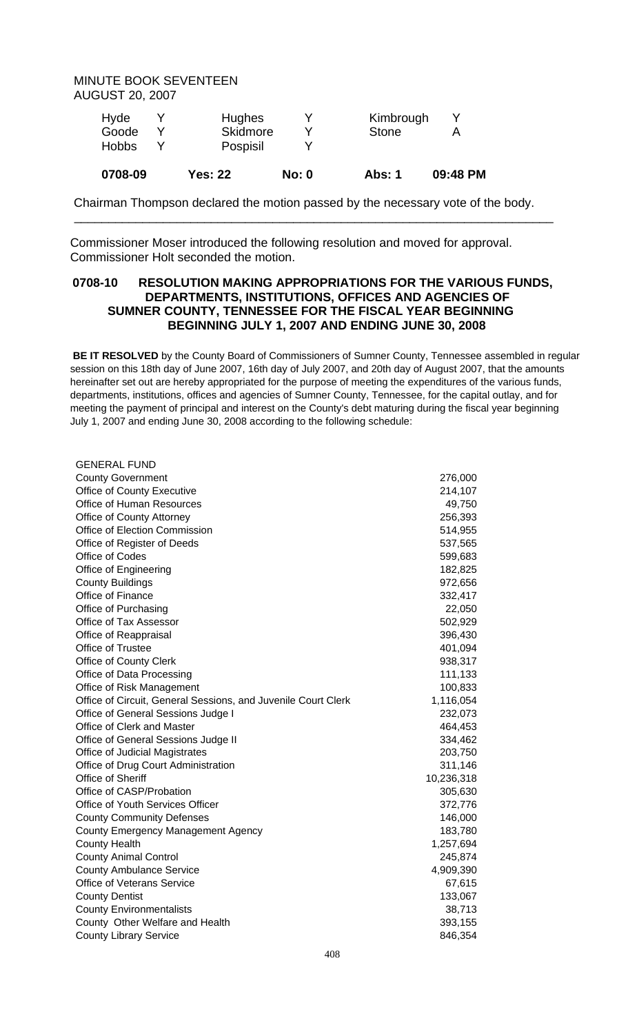| 0708-09      | <b>Yes: 22</b> | No: 0 | Abs: 1       | 09:48 PM |
|--------------|----------------|-------|--------------|----------|
| <b>Hobbs</b> | Pospisil       |       |              |          |
| Goode        | Skidmore       |       | <b>Stone</b> |          |
| Hyde         | <b>Hughes</b>  |       | Kimbrough    |          |

Chairman Thompson declared the motion passed by the necessary vote of the body.

\_\_\_\_\_\_\_\_\_\_\_\_\_\_\_\_\_\_\_\_\_\_\_\_\_\_\_\_\_\_\_\_\_\_\_\_\_\_\_\_\_\_\_\_\_\_\_\_\_\_\_\_\_\_\_\_\_\_\_\_\_\_\_\_\_\_\_\_\_\_

Commissioner Moser introduced the following resolution and moved for approval. Commissioner Holt seconded the motion.

# **0708-10 RESOLUTION MAKING APPROPRIATIONS FOR THE VARIOUS FUNDS, DEPARTMENTS, INSTITUTIONS, OFFICES AND AGENCIES OF SUMNER COUNTY, TENNESSEE FOR THE FISCAL YEAR BEGINNING BEGINNING JULY 1, 2007 AND ENDING JUNE 30, 2008**

 **BE IT RESOLVED** by the County Board of Commissioners of Sumner County, Tennessee assembled in regular session on this 18th day of June 2007, 16th day of July 2007, and 20th day of August 2007, that the amounts hereinafter set out are hereby appropriated for the purpose of meeting the expenditures of the various funds, departments, institutions, offices and agencies of Sumner County, Tennessee, for the capital outlay, and for meeting the payment of principal and interest on the County's debt maturing during the fiscal year beginning July 1, 2007 and ending June 30, 2008 according to the following schedule:

| <b>GENERAL FUND</b>                                           |            |
|---------------------------------------------------------------|------------|
| <b>County Government</b>                                      | 276,000    |
| Office of County Executive                                    | 214,107    |
| Office of Human Resources                                     | 49,750     |
| Office of County Attorney                                     | 256,393    |
| Office of Election Commission                                 | 514,955    |
| Office of Register of Deeds                                   | 537,565    |
| Office of Codes                                               | 599,683    |
| Office of Engineering                                         | 182,825    |
| <b>County Buildings</b>                                       | 972,656    |
| Office of Finance                                             | 332,417    |
| Office of Purchasing                                          | 22,050     |
| Office of Tax Assessor                                        | 502,929    |
| Office of Reappraisal                                         | 396,430    |
| Office of Trustee                                             | 401,094    |
| <b>Office of County Clerk</b>                                 | 938,317    |
| Office of Data Processing                                     | 111,133    |
| Office of Risk Management                                     | 100,833    |
| Office of Circuit, General Sessions, and Juvenile Court Clerk | 1,116,054  |
| Office of General Sessions Judge I                            | 232,073    |
| Office of Clerk and Master                                    | 464,453    |
| Office of General Sessions Judge II                           | 334,462    |
| Office of Judicial Magistrates                                | 203,750    |
| Office of Drug Court Administration                           | 311,146    |
| Office of Sheriff                                             | 10,236,318 |
| Office of CASP/Probation                                      | 305,630    |
| <b>Office of Youth Services Officer</b>                       | 372,776    |
| <b>County Community Defenses</b>                              | 146,000    |
| County Emergency Management Agency                            | 183,780    |
| <b>County Health</b>                                          | 1,257,694  |
| <b>County Animal Control</b>                                  | 245,874    |
| <b>County Ambulance Service</b>                               | 4,909,390  |
| <b>Office of Veterans Service</b>                             | 67,615     |
| <b>County Dentist</b>                                         | 133,067    |
| <b>County Environmentalists</b>                               | 38,713     |
| County Other Welfare and Health                               | 393,155    |
| <b>County Library Service</b>                                 | 846,354    |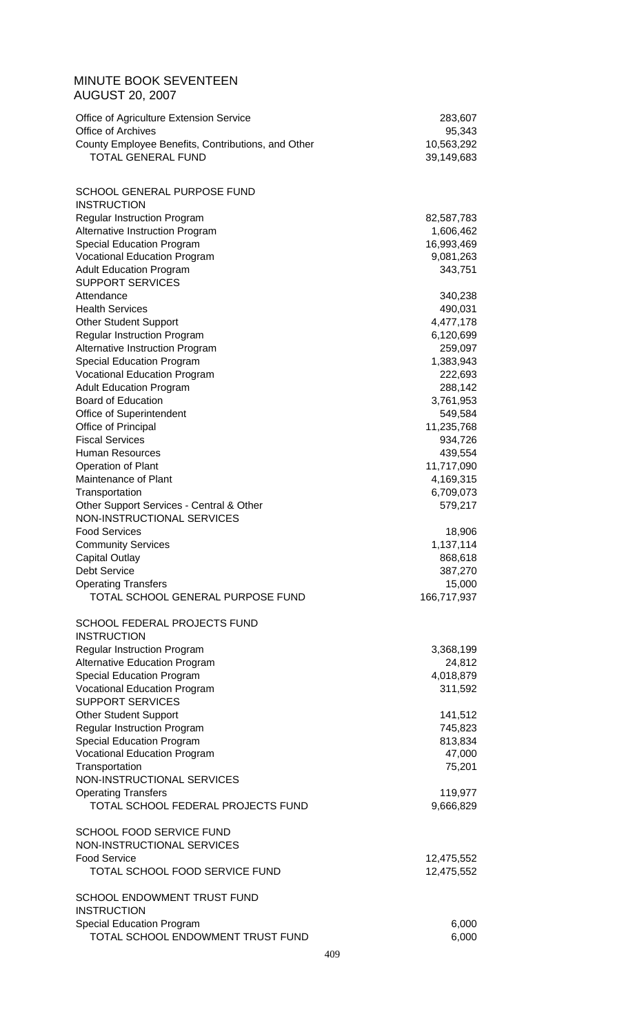| <b>MINUTE BOOK SEVENTEEN</b><br><b>AUGUST 20, 2007</b>                  |                          |
|-------------------------------------------------------------------------|--------------------------|
| Office of Agriculture Extension Service                                 | 283,607                  |
| Office of Archives                                                      | 95,343                   |
| County Employee Benefits, Contributions, and Other                      | 10,563,292               |
| <b>TOTAL GENERAL FUND</b>                                               | 39,149,683               |
| SCHOOL GENERAL PURPOSE FUND<br><b>INSTRUCTION</b>                       |                          |
| <b>Regular Instruction Program</b>                                      | 82,587,783               |
| Alternative Instruction Program                                         | 1,606,462                |
| <b>Special Education Program</b>                                        | 16,993,469               |
| <b>Vocational Education Program</b>                                     | 9,081,263                |
| <b>Adult Education Program</b>                                          | 343,751                  |
| <b>SUPPORT SERVICES</b>                                                 |                          |
| Attendance<br><b>Health Services</b>                                    | 340,238<br>490,031       |
| <b>Other Student Support</b>                                            | 4,477,178                |
| <b>Regular Instruction Program</b>                                      | 6,120,699                |
| Alternative Instruction Program                                         | 259,097                  |
| <b>Special Education Program</b>                                        | 1,383,943                |
| <b>Vocational Education Program</b>                                     | 222,693                  |
| <b>Adult Education Program</b>                                          | 288,142                  |
| <b>Board of Education</b><br>Office of Superintendent                   | 3,761,953<br>549,584     |
| Office of Principal                                                     | 11,235,768               |
| <b>Fiscal Services</b>                                                  | 934,726                  |
| <b>Human Resources</b>                                                  | 439,554                  |
| Operation of Plant                                                      | 11,717,090               |
| Maintenance of Plant                                                    | 4,169,315                |
| Transportation                                                          | 6,709,073<br>579,217     |
| Other Support Services - Central & Other<br>NON-INSTRUCTIONAL SERVICES  |                          |
| <b>Food Services</b>                                                    | 18,906                   |
| <b>Community Services</b>                                               | 1,137,114                |
| <b>Capital Outlay</b>                                                   | 868,618                  |
| <b>Debt Service</b>                                                     | 387,270                  |
| <b>Operating Transfers</b>                                              | 15,000                   |
| TOTAL SCHOOL GENERAL PURPOSE FUND                                       | 166,717,937              |
| SCHOOL FEDERAL PROJECTS FUND<br><b>INSTRUCTION</b>                      |                          |
| <b>Regular Instruction Program</b>                                      | 3,368,199                |
| <b>Alternative Education Program</b>                                    | 24,812                   |
| <b>Special Education Program</b><br><b>Vocational Education Program</b> | 4,018,879<br>311,592     |
| <b>SUPPORT SERVICES</b>                                                 |                          |
| <b>Other Student Support</b>                                            | 141,512                  |
| <b>Regular Instruction Program</b>                                      | 745,823                  |
| <b>Special Education Program</b>                                        | 813,834                  |
| <b>Vocational Education Program</b>                                     | 47,000                   |
| Transportation                                                          | 75,201                   |
| NON-INSTRUCTIONAL SERVICES<br><b>Operating Transfers</b>                | 119,977                  |
| TOTAL SCHOOL FEDERAL PROJECTS FUND                                      | 9,666,829                |
| SCHOOL FOOD SERVICE FUND                                                |                          |
| NON-INSTRUCTIONAL SERVICES<br><b>Food Service</b>                       |                          |
| TOTAL SCHOOL FOOD SERVICE FUND                                          | 12,475,552<br>12,475,552 |
| SCHOOL ENDOWMENT TRUST FUND<br><b>INSTRUCTION</b>                       |                          |
| Special Education Program                                               | 6,000                    |
| TOTAL SCHOOL ENDOWMENT TRUST FUND                                       | 6,000                    |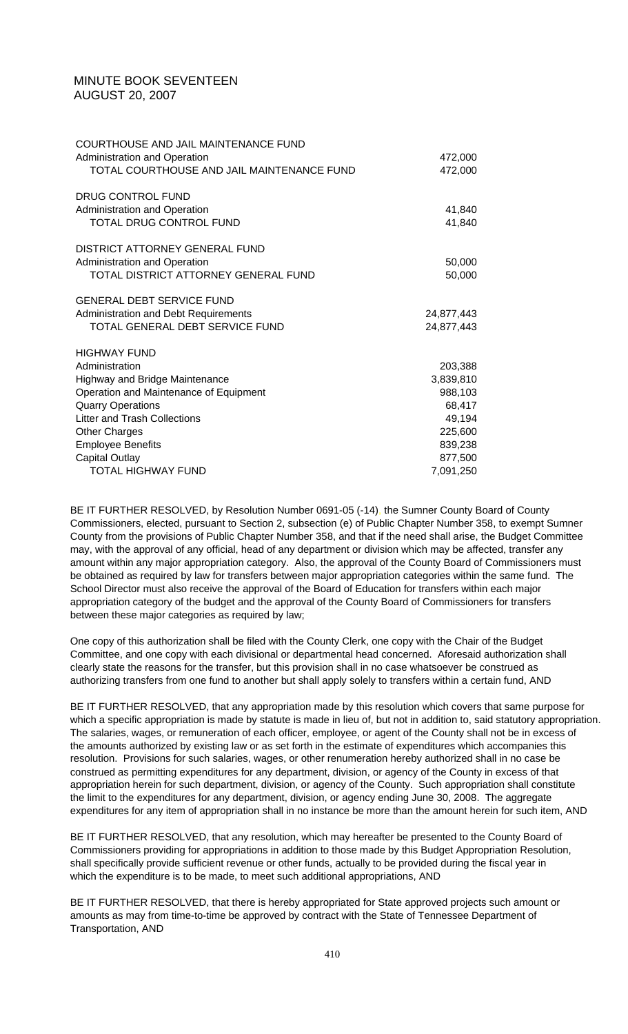| COURTHOUSE AND JAIL MAINTENANCE FUND<br>Administration and Operation<br>TOTAL COURTHOUSE AND JAIL MAINTENANCE FUND | 472,000<br>472,000 |
|--------------------------------------------------------------------------------------------------------------------|--------------------|
| <b>DRUG CONTROL FUND</b>                                                                                           |                    |
| Administration and Operation                                                                                       | 41,840             |
| TOTAL DRUG CONTROL FUND                                                                                            | 41,840             |
| DISTRICT ATTORNEY GENERAL FUND                                                                                     |                    |
| Administration and Operation                                                                                       | 50,000             |
| TOTAL DISTRICT ATTORNEY GENERAL FUND                                                                               | 50,000             |
| <b>GENERAL DEBT SERVICE FUND</b>                                                                                   |                    |
| Administration and Debt Requirements                                                                               | 24,877,443         |
| TOTAL GENERAL DEBT SERVICE FUND                                                                                    | 24,877,443         |
| <b>HIGHWAY FUND</b>                                                                                                |                    |
| Administration                                                                                                     | 203,388            |
| <b>Highway and Bridge Maintenance</b>                                                                              | 3,839,810          |
| Operation and Maintenance of Equipment                                                                             | 988,103            |
| <b>Quarry Operations</b>                                                                                           | 68,417             |
| <b>Litter and Trash Collections</b>                                                                                | 49,194             |
| <b>Other Charges</b>                                                                                               | 225,600            |
| <b>Employee Benefits</b>                                                                                           | 839,238            |
| <b>Capital Outlay</b>                                                                                              | 877,500            |
| TOTAL HIGHWAY FUND                                                                                                 | 7,091,250          |

BE IT FURTHER RESOLVED, by Resolution Number 0691-05 (-14), the Sumner County Board of County Commissioners, elected, pursuant to Section 2, subsection (e) of Public Chapter Number 358, to exempt Sumner County from the provisions of Public Chapter Number 358, and that if the need shall arise, the Budget Committee may, with the approval of any official, head of any department or division which may be affected, transfer any amount within any major appropriation category. Also, the approval of the County Board of Commissioners must be obtained as required by law for transfers between major appropriation categories within the same fund. The School Director must also receive the approval of the Board of Education for transfers within each major appropriation category of the budget and the approval of the County Board of Commissioners for transfers between these major categories as required by law;

One copy of this authorization shall be filed with the County Clerk, one copy with the Chair of the Budget Committee, and one copy with each divisional or departmental head concerned. Aforesaid authorization shall clearly state the reasons for the transfer, but this provision shall in no case whatsoever be construed as authorizing transfers from one fund to another but shall apply solely to transfers within a certain fund, AND

BE IT FURTHER RESOLVED, that any appropriation made by this resolution which covers that same purpose for which a specific appropriation is made by statute is made in lieu of, but not in addition to, said statutory appropriation. The salaries, wages, or remuneration of each officer, employee, or agent of the County shall not be in excess of the amounts authorized by existing law or as set forth in the estimate of expenditures which accompanies this resolution. Provisions for such salaries, wages, or other renumeration hereby authorized shall in no case be construed as permitting expenditures for any department, division, or agency of the County in excess of that appropriation herein for such department, division, or agency of the County. Such appropriation shall constitute the limit to the expenditures for any department, division, or agency ending June 30, 2008. The aggregate expenditures for any item of appropriation shall in no instance be more than the amount herein for such item, AND

BE IT FURTHER RESOLVED, that any resolution, which may hereafter be presented to the County Board of Commissioners providing for appropriations in addition to those made by this Budget Appropriation Resolution, shall specifically provide sufficient revenue or other funds, actually to be provided during the fiscal year in which the expenditure is to be made, to meet such additional appropriations, AND

BE IT FURTHER RESOLVED, that there is hereby appropriated for State approved projects such amount or amounts as may from time-to-time be approved by contract with the State of Tennessee Department of Transportation, AND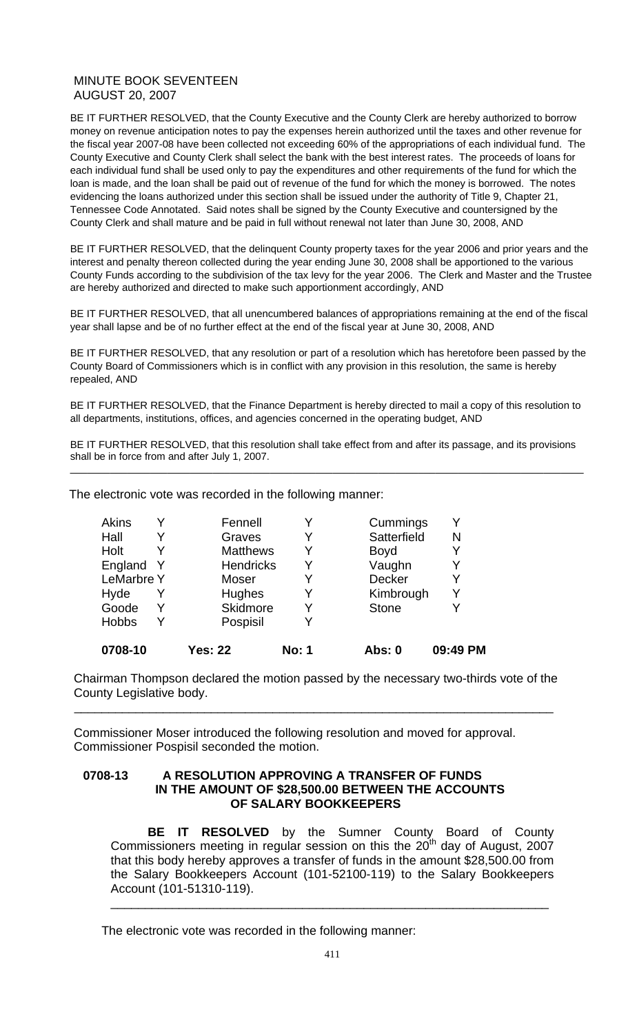BE IT FURTHER RESOLVED, that the County Executive and the County Clerk are hereby authorized to borrow money on revenue anticipation notes to pay the expenses herein authorized until the taxes and other revenue for the fiscal year 2007-08 have been collected not exceeding 60% of the appropriations of each individual fund. The County Executive and County Clerk shall select the bank with the best interest rates. The proceeds of loans for each individual fund shall be used only to pay the expenditures and other requirements of the fund for which the loan is made, and the loan shall be paid out of revenue of the fund for which the money is borrowed. The notes evidencing the loans authorized under this section shall be issued under the authority of Title 9, Chapter 21, Tennessee Code Annotated. Said notes shall be signed by the County Executive and countersigned by the County Clerk and shall mature and be paid in full without renewal not later than June 30, 2008, AND

BE IT FURTHER RESOLVED, that the delinquent County property taxes for the year 2006 and prior years and the interest and penalty thereon collected during the year ending June 30, 2008 shall be apportioned to the various County Funds according to the subdivision of the tax levy for the year 2006. The Clerk and Master and the Trustee are hereby authorized and directed to make such apportionment accordingly, AND

BE IT FURTHER RESOLVED, that all unencumbered balances of appropriations remaining at the end of the fiscal year shall lapse and be of no further effect at the end of the fiscal year at June 30, 2008, AND

BE IT FURTHER RESOLVED, that any resolution or part of a resolution which has heretofore been passed by the County Board of Commissioners which is in conflict with any provision in this resolution, the same is hereby repealed, AND

BE IT FURTHER RESOLVED, that the Finance Department is hereby directed to mail a copy of this resolution to all departments, institutions, offices, and agencies concerned in the operating budget, AND

BE IT FURTHER RESOLVED, that this resolution shall take effect from and after its passage, and its provisions shall be in force from and after July 1, 2007. \_\_\_\_\_\_\_\_\_\_\_\_\_\_\_\_\_\_\_\_\_\_\_\_\_\_\_\_\_\_\_\_\_\_\_\_\_\_\_\_\_\_\_\_\_\_\_\_\_\_\_\_\_\_\_\_\_\_\_\_\_\_\_\_\_\_\_\_\_\_\_\_\_\_\_\_\_\_\_\_\_\_\_\_\_\_\_\_\_\_

The electronic vote was recorded in the following manner:

| 0708-10           |              | <b>Yes: 22</b>   | <b>No: 1</b> | Abs: 0       | 09:49 PM |
|-------------------|--------------|------------------|--------------|--------------|----------|
| <b>Hobbs</b>      | Y            | Pospisil         | Y            |              |          |
| Goode             | Y            | <b>Skidmore</b>  | Y            | <b>Stone</b> |          |
| Hyde              |              | Hughes           | Y            | Kimbrough    |          |
| <b>LeMarbre Y</b> |              | Moser            | Y            | Decker       |          |
| England           | <sup>Y</sup> | <b>Hendricks</b> | Y            | Vaughn       |          |
| Holt              |              | <b>Matthews</b>  | Y            | <b>Boyd</b>  |          |
| Hall              |              | Graves           | Y            | Satterfield  | N        |
| <b>Akins</b>      | Y            | Fennell          | Y            | Cummings     |          |

Chairman Thompson declared the motion passed by the necessary two-thirds vote of the County Legislative body.

\_\_\_\_\_\_\_\_\_\_\_\_\_\_\_\_\_\_\_\_\_\_\_\_\_\_\_\_\_\_\_\_\_\_\_\_\_\_\_\_\_\_\_\_\_\_\_\_\_\_\_\_\_\_\_\_\_\_\_\_\_\_\_\_\_\_\_\_\_\_

Commissioner Moser introduced the following resolution and moved for approval. Commissioner Pospisil seconded the motion.

### **0708-13 A RESOLUTION APPROVING A TRANSFER OF FUNDS IN THE AMOUNT OF \$28,500.00 BETWEEN THE ACCOUNTS OF SALARY BOOKKEEPERS**

 **BE IT RESOLVED** by the Sumner County Board of County Commissioners meeting in regular session on this the  $20<sup>th</sup>$  day of August, 2007 that this body hereby approves a transfer of funds in the amount \$28,500.00 from the Salary Bookkeepers Account (101-52100-119) to the Salary Bookkeepers Account (101-51310-119). \_\_\_\_\_\_\_\_\_\_\_\_\_\_\_\_\_\_\_\_\_\_\_\_\_\_\_\_\_\_\_\_\_\_\_\_\_\_\_\_\_\_\_\_\_\_\_\_\_\_\_\_\_\_\_\_\_\_\_\_\_\_\_\_

The electronic vote was recorded in the following manner: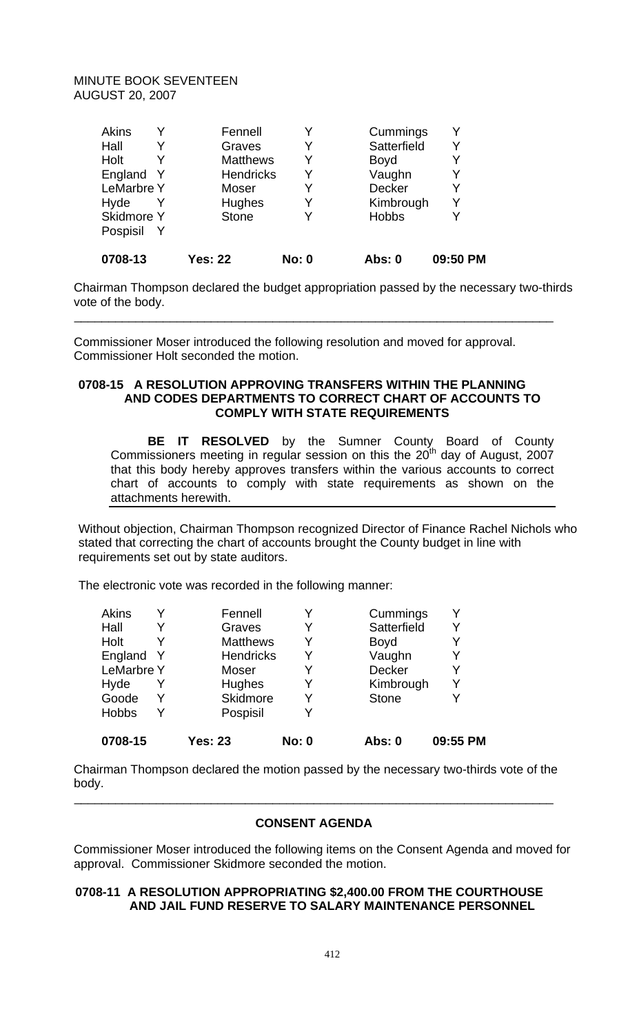| 0708-13           | <b>Yes: 22</b>   | <b>No: 0</b> | <b>Abs: 0</b> | 09:50 PM |
|-------------------|------------------|--------------|---------------|----------|
| Pospisil          |                  |              |               |          |
| <b>Skidmore Y</b> | <b>Stone</b>     | Y            | <b>Hobbs</b>  |          |
| Hyde              | Hughes           | Y            | Kimbrough     | Y        |
| <b>LeMarbre Y</b> | Moser            | Y            | Decker        | Y        |
| England Y         | <b>Hendricks</b> | Y            | Vaughn        | Y        |
| Holt              | <b>Matthews</b>  | Y            | <b>Boyd</b>   |          |
| Hall              | Graves           | Y            | Satterfield   | Y        |
| <b>Akins</b>      | Fennell          | Y            | Cummings      |          |

Chairman Thompson declared the budget appropriation passed by the necessary two-thirds vote of the body.

\_\_\_\_\_\_\_\_\_\_\_\_\_\_\_\_\_\_\_\_\_\_\_\_\_\_\_\_\_\_\_\_\_\_\_\_\_\_\_\_\_\_\_\_\_\_\_\_\_\_\_\_\_\_\_\_\_\_\_\_\_\_\_\_\_\_\_\_\_\_

Commissioner Moser introduced the following resolution and moved for approval. Commissioner Holt seconded the motion.

# **0708-15 A RESOLUTION APPROVING TRANSFERS WITHIN THE PLANNING AND CODES DEPARTMENTS TO CORRECT CHART OF ACCOUNTS TO COMPLY WITH STATE REQUIREMENTS**

**BE IT RESOLVED** by the Sumner County Board of County Commissioners meeting in regular session on this the  $20<sup>th</sup>$  day of August, 2007 that this body hereby approves transfers within the various accounts to correct chart of accounts to comply with state requirements as shown on the attachments herewith.

Without objection, Chairman Thompson recognized Director of Finance Rachel Nichols who stated that correcting the chart of accounts brought the County budget in line with requirements set out by state auditors.

The electronic vote was recorded in the following manner:

| 0708-15           | <b>Yes: 23</b>   | <b>No: 0</b> | Abs: 0       | 09:55 PM |
|-------------------|------------------|--------------|--------------|----------|
| <b>Hobbs</b>      | Pospisil         | Y            |              |          |
| Goode             | Skidmore         | Y            | <b>Stone</b> |          |
| Hyde              | <b>Hughes</b>    | Y            | Kimbrough    | Y        |
| <b>LeMarbre Y</b> | Moser            | Y            | Decker       | Y        |
| England Y         | <b>Hendricks</b> | Y            | Vaughn       |          |
| Holt              | <b>Matthews</b>  | Y            | <b>Boyd</b>  |          |
| Hall              | Graves           |              | Satterfield  |          |
| <b>Akins</b>      | Fennell          |              | Cummings     |          |

Chairman Thompson declared the motion passed by the necessary two-thirds vote of the body.

# **CONSENT AGENDA**

\_\_\_\_\_\_\_\_\_\_\_\_\_\_\_\_\_\_\_\_\_\_\_\_\_\_\_\_\_\_\_\_\_\_\_\_\_\_\_\_\_\_\_\_\_\_\_\_\_\_\_\_\_\_\_\_\_\_\_\_\_\_\_\_\_\_\_\_\_\_

Commissioner Moser introduced the following items on the Consent Agenda and moved for approval. Commissioner Skidmore seconded the motion.

### **0708-11 A RESOLUTION APPROPRIATING \$2,400.00 FROM THE COURTHOUSE AND JAIL FUND RESERVE TO SALARY MAINTENANCE PERSONNEL**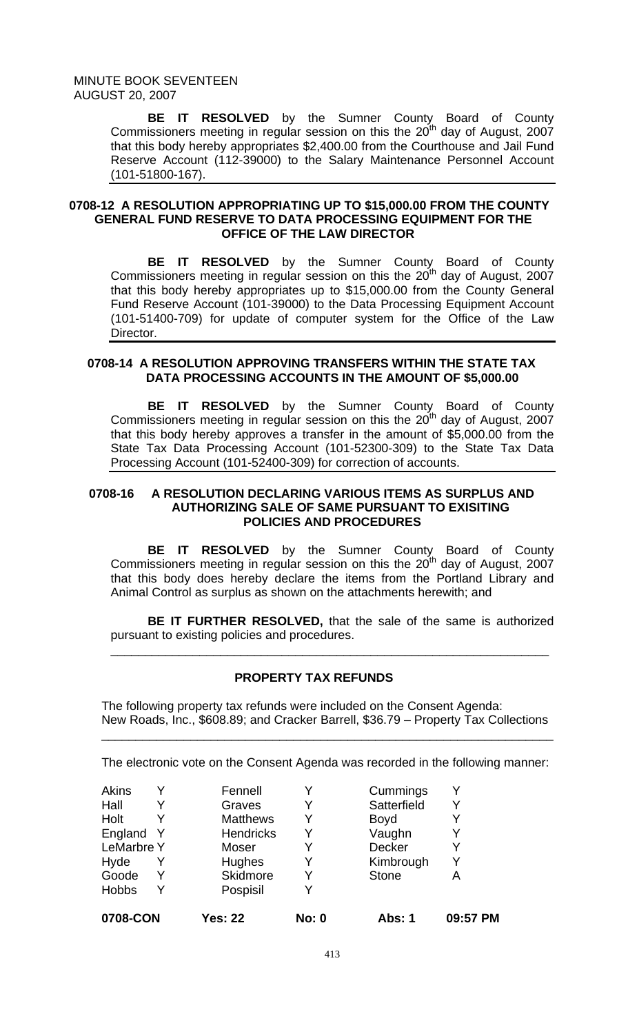> **BE IT RESOLVED** by the Sumner County Board of County Commissioners meeting in regular session on this the  $20<sup>th</sup>$  day of August, 2007 that this body hereby appropriates \$2,400.00 from the Courthouse and Jail Fund Reserve Account (112-39000) to the Salary Maintenance Personnel Account (101-51800-167).

### **0708-12 A RESOLUTION APPROPRIATING UP TO \$15,000.00 FROM THE COUNTY GENERAL FUND RESERVE TO DATA PROCESSING EQUIPMENT FOR THE OFFICE OF THE LAW DIRECTOR**

 **BE IT RESOLVED** by the Sumner County Board of County Commissioners meeting in regular session on this the  $20<sup>th</sup>$  day of August, 2007 that this body hereby appropriates up to \$15,000.00 from the County General Fund Reserve Account (101-39000) to the Data Processing Equipment Account (101-51400-709) for update of computer system for the Office of the Law Director.

### **0708-14 A RESOLUTION APPROVING TRANSFERS WITHIN THE STATE TAX DATA PROCESSING ACCOUNTS IN THE AMOUNT OF \$5,000.00**

**BE IT RESOLVED** by the Sumner County Board of County Commissioners meeting in regular session on this the  $20<sup>th</sup>$  day of August, 2007 that this body hereby approves a transfer in the amount of \$5,000.00 from the State Tax Data Processing Account (101-52300-309) to the State Tax Data Processing Account (101-52400-309) for correction of accounts.

### **0708-16 A RESOLUTION DECLARING VARIOUS ITEMS AS SURPLUS AND AUTHORIZING SALE OF SAME PURSUANT TO EXISITING POLICIES AND PROCEDURES**

**BE IT RESOLVED** by the Sumner County Board of County Commissioners meeting in regular session on this the  $20<sup>th</sup>$  day of August, 2007 that this body does hereby declare the items from the Portland Library and Animal Control as surplus as shown on the attachments herewith; and

**BE IT FURTHER RESOLVED,** that the sale of the same is authorized pursuant to existing policies and procedures.

\_\_\_\_\_\_\_\_\_\_\_\_\_\_\_\_\_\_\_\_\_\_\_\_\_\_\_\_\_\_\_\_\_\_\_\_\_\_\_\_\_\_\_\_\_\_\_\_\_\_\_\_\_\_\_\_\_\_\_\_\_\_\_\_

### **PROPERTY TAX REFUNDS**

The following property tax refunds were included on the Consent Agenda: New Roads, Inc., \$608.89; and Cracker Barrell, \$36.79 – Property Tax Collections

\_\_\_\_\_\_\_\_\_\_\_\_\_\_\_\_\_\_\_\_\_\_\_\_\_\_\_\_\_\_\_\_\_\_\_\_\_\_\_\_\_\_\_\_\_\_\_\_\_\_\_\_\_\_\_\_\_\_\_\_\_\_\_\_\_\_

The electronic vote on the Consent Agenda was recorded in the following manner:

| 0708-CON          |   | <b>Yes: 22</b>   | <b>No: 0</b> | <b>Abs: 1</b> | 09:57 PM |
|-------------------|---|------------------|--------------|---------------|----------|
| <b>Hobbs</b>      | Y | Pospisil         |              |               |          |
| Goode             |   | <b>Skidmore</b>  | Y            | <b>Stone</b>  | Α        |
| Hyde              |   | <b>Hughes</b>    |              | Kimbrough     | Y        |
| <b>LeMarbre Y</b> |   | Moser            | Y            | Decker        | Y        |
| England           |   | <b>Hendricks</b> | Y            | Vaughn        | Y        |
| Holt              |   | <b>Matthews</b>  | Y            | <b>Boyd</b>   |          |
| Hall              |   | Graves           | Y            | Satterfield   | Y        |
| Akins             |   | Fennell          |              | Cummings      |          |